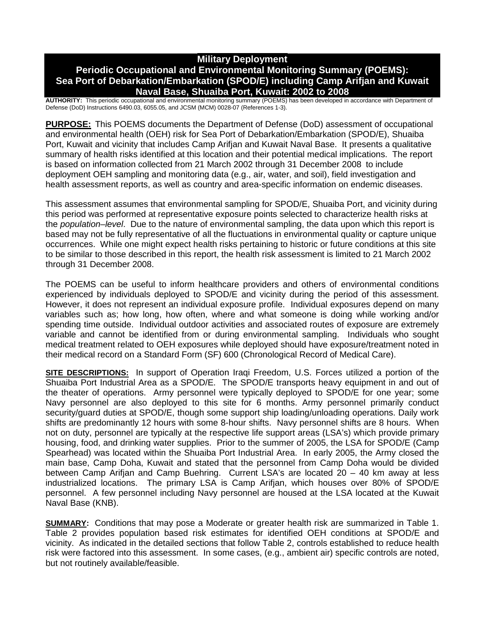# **Military Deployment**

# **Periodic Occupational and Environmental Monitoring Summary (POEMS): Sea Port of Debarkation/Embarkation (SPOD/E) including Camp Arifjan and Kuwait Naval Base, Shuaiba Port, Kuwait: 2002 to 2008**

**AUTHORITY:** This periodic occupational and environmental monitoring summary (POEMS) has been developed in accordance with Department of Defense (DoD) Instructions 6490.03, 6055.05, and JCSM (MCM) 0028-07 (References 1-3).

**PURPOSE:** This POEMS documents the Department of Defense (DoD) assessment of occupational and environmental health (OEH) risk for Sea Port of Debarkation/Embarkation (SPOD/E), Shuaiba Port, Kuwait and vicinity that includes Camp Arifjan and Kuwait Naval Base. It presents a qualitative summary of health risks identified at this location and their potential medical implications. The report is based on information collected from 21 March 2002 through 31 December 2008 to include deployment OEH sampling and monitoring data (e.g., air, water, and soil), field investigation and health assessment reports, as well as country and area-specific information on endemic diseases.

This assessment assumes that environmental sampling for SPOD/E, Shuaiba Port, and vicinity during this period was performed at representative exposure points selected to characterize health risks at the *population–level*. Due to the nature of environmental sampling, the data upon which this report is based may not be fully representative of all the fluctuations in environmental quality or capture unique occurrences. While one might expect health risks pertaining to historic or future conditions at this site to be similar to those described in this report, the health risk assessment is limited to 21 March 2002 through 31 December 2008.

The POEMS can be useful to inform healthcare providers and others of environmental conditions experienced by individuals deployed to SPOD/E and vicinity during the period of this assessment. However, it does not represent an individual exposure profile. Individual exposures depend on many variables such as; how long, how often, where and what someone is doing while working and/or spending time outside. Individual outdoor activities and associated routes of exposure are extremely variable and cannot be identified from or during environmental sampling. Individuals who sought medical treatment related to OEH exposures while deployed should have exposure/treatment noted in their medical record on a Standard Form (SF) 600 (Chronological Record of Medical Care).

**SITE DESCRIPTIONS:** In support of Operation Iraqi Freedom, U.S. Forces utilized a portion of the Shuaiba Port Industrial Area as a SPOD/E. The SPOD/E transports heavy equipment in and out of the theater of operations. Army personnel were typically deployed to SPOD/E for one year; some Navy personnel are also deployed to this site for 6 months. Army personnel primarily conduct security/guard duties at SPOD/E, though some support ship loading/unloading operations. Daily work shifts are predominantly 12 hours with some 8-hour shifts. Navy personnel shifts are 8 hours. When not on duty, personnel are typically at the respective life support areas (LSA's) which provide primary housing, food, and drinking water supplies. Prior to the summer of 2005, the LSA for SPOD/E (Camp Spearhead) was located within the Shuaiba Port Industrial Area. In early 2005, the Army closed the main base, Camp Doha, Kuwait and stated that the personnel from Camp Doha would be divided between Camp Arifjan and Camp Buehring. Current LSA's are located 20 – 40 km away at less industrialized locations. The primary LSA is Camp Arifjan, which houses over 80% of SPOD/E personnel. A few personnel including Navy personnel are housed at the LSA located at the Kuwait Naval Base (KNB).

**SUMMARY:** Conditions that may pose a Moderate or greater health risk are summarized in Table 1. Table 2 provides population based risk estimates for identified OEH conditions at SPOD/E and vicinity. As indicated in the detailed sections that follow Table 2, controls established to reduce health risk were factored into this assessment. In some cases, (e.g., ambient air) specific controls are noted, but not routinely available/feasible.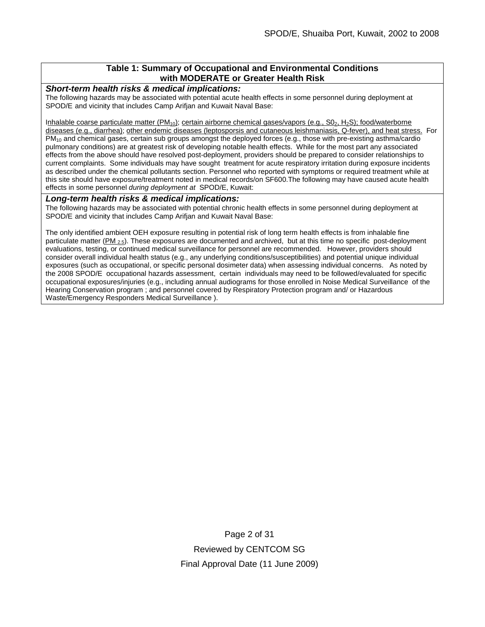# **Table 1: Summary of Occupational and Environmental Conditions with MODERATE or Greater Health Risk**

#### *Short-term health risks & medical implications:*

The following hazards may be associated with potential acute health effects in some personnel during deployment at SPOD/E and vicinity that includes Camp Arifjan and Kuwait Naval Base:

Inhalable coarse particulate matter ( $PM_{10}$ ); certain airborne chemical gases/vapors (e.g.,  $SO_2$ ,  $H_2S$ ); food/waterborne diseases (e.g., diarrhea); other endemic diseases (leptosporsis and cutaneous leishmaniasis, Q-fever), and heat stress. For PM10 and chemical gases, certain sub groups amongst the deployed forces (e.g., those with pre-existing asthma/cardio pulmonary conditions) are at greatest risk of developing notable health effects. While for the most part any associated effects from the above should have resolved post-deployment, providers should be prepared to consider relationships to current complaints. Some individuals may have sought treatment for acute respiratory irritation during exposure incidents as described under the chemical pollutants section. Personnel who reported with symptoms or required treatment while at this site should have exposure/treatment noted in medical records/on SF600.The following may have caused acute health effects in some personnel *during deployment at* SPOD/E, Kuwait:

#### *Long-term health risks & medical implications:*

The following hazards may be associated with potential chronic health effects in some personnel during deployment at SPOD/E and vicinity that includes Camp Arifjan and Kuwait Naval Base:

The only identified ambient OEH exposure resulting in potential risk of long term health effects is from inhalable fine particulate matter ( $PM_{2.5}$ ). These exposures are documented and archived, but at this time no specific post-deployment evaluations, testing, or continued medical surveillance for personnel are recommended. However, providers should consider overall individual health status (e.g., any underlying conditions/susceptibilities) and potential unique individual exposures (such as occupational, or specific personal dosimeter data) when assessing individual concerns. As noted by the 2008 SPOD/E occupational hazards assessment, certain individuals may need to be followed/evaluated for specific occupational exposures/injuries (e.g., including annual audiograms for those enrolled in Noise Medical Surveillance of the Hearing Conservation program ; and personnel covered by Respiratory Protection program and/ or Hazardous Waste/Emergency Responders Medical Surveillance ).

> Page 2 of 31 Reviewed by CENTCOM SG Final Approval Date (11 June 2009)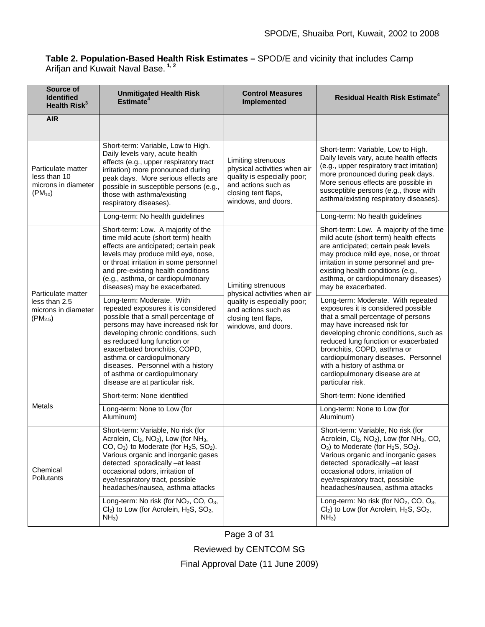### **Table 2. Population-Based Health Risk Estimates –** SPOD/E and vicinity that includes Camp Arifjan and Kuwait Naval Base. **1, 2**

| Source of<br><b>Identified</b><br>Health Risk <sup>3</sup>                 | <b>Unmitigated Health Risk</b><br>Estimate <sup>4</sup>                                                                                                                                                                                                                                                                                                                                                                  | <b>Control Measures</b><br><b>Implemented</b>                                                                                                          | Residual Health Risk Estimate <sup>4</sup>                                                                                                                                                                                                                                                                                                                                                           |
|----------------------------------------------------------------------------|--------------------------------------------------------------------------------------------------------------------------------------------------------------------------------------------------------------------------------------------------------------------------------------------------------------------------------------------------------------------------------------------------------------------------|--------------------------------------------------------------------------------------------------------------------------------------------------------|------------------------------------------------------------------------------------------------------------------------------------------------------------------------------------------------------------------------------------------------------------------------------------------------------------------------------------------------------------------------------------------------------|
| <b>AIR</b>                                                                 |                                                                                                                                                                                                                                                                                                                                                                                                                          |                                                                                                                                                        |                                                                                                                                                                                                                                                                                                                                                                                                      |
| Particulate matter<br>less than 10<br>microns in diameter<br>$(PM_{10})$   | Short-term: Variable, Low to High.<br>Daily levels vary, acute health<br>effects (e.g., upper respiratory tract<br>irritation) more pronounced during<br>peak days. More serious effects are<br>possible in susceptible persons (e.g.,<br>those with asthma/existing<br>respiratory diseases).                                                                                                                           | Limiting strenuous<br>physical activities when air<br>quality is especially poor;<br>and actions such as<br>closing tent flaps,<br>windows, and doors. | Short-term: Variable, Low to High.<br>Daily levels vary, acute health effects<br>(e.g., upper respiratory tract irritation)<br>more pronounced during peak days.<br>More serious effects are possible in<br>susceptible persons (e.g., those with<br>asthma/existing respiratory diseases).                                                                                                          |
|                                                                            | Long-term: No health guidelines                                                                                                                                                                                                                                                                                                                                                                                          |                                                                                                                                                        | Long-term: No health guidelines                                                                                                                                                                                                                                                                                                                                                                      |
| Particulate matter<br>less than 2.5<br>microns in diameter<br>$(PM_{2.5})$ | Short-term: Low. A majority of the<br>time mild acute (short term) health<br>effects are anticipated; certain peak<br>levels may produce mild eye, nose,<br>or throat irritation in some personnel<br>and pre-existing health conditions<br>(e.g., asthma, or cardiopulmonary<br>diseases) may be exacerbated.<br>Long-term: Moderate. With                                                                              | Limiting strenuous<br>physical activities when air<br>quality is especially poor;<br>and actions such as<br>closing tent flaps,<br>windows, and doors. | Short-term: Low. A majority of the time<br>mild acute (short term) health effects<br>are anticipated; certain peak levels<br>may produce mild eye, nose, or throat<br>irritation in some personnel and pre-<br>existing health conditions (e.g.,<br>asthma, or cardiopulmonary diseases)<br>may be exacerbated.<br>Long-term: Moderate. With repeated                                                |
|                                                                            | repeated exposures it is considered<br>possible that a small percentage of<br>persons may have increased risk for<br>developing chronic conditions, such<br>as reduced lung function or<br>exacerbated bronchitis, COPD,<br>asthma or cardiopulmonary<br>diseases. Personnel with a history<br>of asthma or cardiopulmonary<br>disease are at particular risk.                                                           |                                                                                                                                                        | exposures it is considered possible<br>that a small percentage of persons<br>may have increased risk for<br>developing chronic conditions, such as<br>reduced lung function or exacerbated<br>bronchitis, COPD, asthma or<br>cardiopulmonary diseases. Personnel<br>with a history of asthma or<br>cardiopulmonary disease are at<br>particular risk.                                                |
| <b>Metals</b>                                                              | Short-term: None identified                                                                                                                                                                                                                                                                                                                                                                                              |                                                                                                                                                        | Short-term: None identified                                                                                                                                                                                                                                                                                                                                                                          |
|                                                                            | Long-term: None to Low (for<br>Aluminum)                                                                                                                                                                                                                                                                                                                                                                                 |                                                                                                                                                        | Long-term: None to Low (for<br>Aluminum)                                                                                                                                                                                                                                                                                                                                                             |
| Chemical<br><b>Pollutants</b>                                              | Short-term: Variable, No risk (for<br>Acrolein, Cl <sub>2</sub> , NO <sub>2</sub> ), Low (for NH <sub>3</sub> ,<br>CO, $O_3$ ) to Moderate (for $H_2S$ , $SO_2$ ).<br>Various organic and inorganic gases<br>detected sporadically -at least<br>occasional odors, irritation of<br>eye/respiratory tract, possible<br>headaches/nausea, asthma attacks<br>Long-term: No risk (for NO <sub>2</sub> , CO, O <sub>3</sub> , |                                                                                                                                                        | Short-term: Variable, No risk (for<br>Acrolein, Cl <sub>2</sub> , NO <sub>2</sub> ), Low (for NH <sub>3</sub> , CO,<br>$O_3$ ) to Moderate (for $H_2S$ , $SO_2$ ).<br>Various organic and inorganic gases<br>detected sporadically -at least<br>occasional odors, irritation of<br>eye/respiratory tract, possible<br>headaches/nausea, asthma attacks<br>Long-term: No risk (for $NO2$ , CO, $O3$ , |
|                                                                            | Cl <sub>2</sub> ) to Low (for Acrolein, H <sub>2</sub> S, SO <sub>2</sub> ,<br>$NH3$ )                                                                                                                                                                                                                                                                                                                                   |                                                                                                                                                        | Cl <sub>2</sub> ) to Low (for Acrolein, H <sub>2</sub> S, SO <sub>2</sub> ,<br>$NH3$ )                                                                                                                                                                                                                                                                                                               |

Page 3 of 31

Reviewed by CENTCOM SG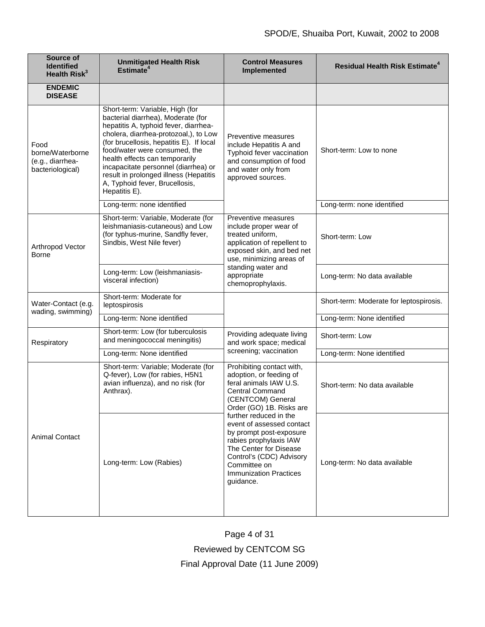| Source of<br><b>Identified</b><br>Health Risk <sup>3</sup>       | <b>Unmitigated Health Risk</b><br>Estimate <sup>4</sup>                                                                                                                                                                                                                                                                                                                                                     | <b>Control Measures</b><br>Implemented                                                                                                                                                                                                                                                                                                                                                    | <b>Residual Health Risk Estimate<sup>4</sup></b> |
|------------------------------------------------------------------|-------------------------------------------------------------------------------------------------------------------------------------------------------------------------------------------------------------------------------------------------------------------------------------------------------------------------------------------------------------------------------------------------------------|-------------------------------------------------------------------------------------------------------------------------------------------------------------------------------------------------------------------------------------------------------------------------------------------------------------------------------------------------------------------------------------------|--------------------------------------------------|
| <b>ENDEMIC</b><br><b>DISEASE</b>                                 |                                                                                                                                                                                                                                                                                                                                                                                                             |                                                                                                                                                                                                                                                                                                                                                                                           |                                                  |
| Food<br>borne/Waterborne<br>(e.g., diarrhea-<br>bacteriological) | Short-term: Variable, High (for<br>bacterial diarrhea), Moderate (for<br>hepatitis A, typhoid fever, diarrhea-<br>cholera, diarrhea-protozoal,), to Low<br>(for brucellosis, hepatitis E). If local<br>food/water were consumed, the<br>health effects can temporarily<br>incapacitate personnel (diarrhea) or<br>result in prolonged illness (Hepatitis<br>A, Typhoid fever, Brucellosis,<br>Hepatitis E). | Preventive measures<br>include Hepatitis A and<br>Typhoid fever vaccination<br>and consumption of food<br>and water only from<br>approved sources.                                                                                                                                                                                                                                        | Short-term: Low to none                          |
|                                                                  | Long-term: none identified                                                                                                                                                                                                                                                                                                                                                                                  |                                                                                                                                                                                                                                                                                                                                                                                           | Long-term: none identified                       |
| Arthropod Vector<br><b>Borne</b>                                 | Short-term: Variable, Moderate (for<br>leishmaniasis-cutaneous) and Low<br>(for typhus-murine, Sandfly fever,<br>Sindbis, West Nile fever)                                                                                                                                                                                                                                                                  | Preventive measures<br>include proper wear of<br>treated uniform,<br>application of repellent to<br>exposed skin, and bed net<br>use, minimizing areas of<br>standing water and<br>appropriate<br>chemoprophylaxis.                                                                                                                                                                       | Short-term: Low                                  |
|                                                                  | Long-term: Low (leishmaniasis-<br>visceral infection)                                                                                                                                                                                                                                                                                                                                                       |                                                                                                                                                                                                                                                                                                                                                                                           | Long-term: No data available                     |
| Water-Contact (e.g.<br>wading, swimming)                         | Short-term: Moderate for<br>leptospirosis                                                                                                                                                                                                                                                                                                                                                                   |                                                                                                                                                                                                                                                                                                                                                                                           | Short-term: Moderate for leptospirosis.          |
|                                                                  | Long-term: None identified                                                                                                                                                                                                                                                                                                                                                                                  |                                                                                                                                                                                                                                                                                                                                                                                           | Long-term: None identified                       |
| Respiratory                                                      | Short-term: Low (for tuberculosis<br>and meningococcal meningitis)                                                                                                                                                                                                                                                                                                                                          | Providing adequate living<br>and work space; medical<br>screening; vaccination                                                                                                                                                                                                                                                                                                            | Short-term: Low                                  |
|                                                                  | Long-term: None identified                                                                                                                                                                                                                                                                                                                                                                                  |                                                                                                                                                                                                                                                                                                                                                                                           | Long-term: None identified                       |
| <b>Animal Contact</b>                                            | Short-term: Variable; Moderate (for<br>Q-fever), Low (for rabies, H5N1<br>avian influenza), and no risk (for<br>Anthrax).                                                                                                                                                                                                                                                                                   | Prohibiting contact with,<br>adoption, or feeding of<br>feral animals IAW U.S.<br><b>Central Command</b><br>(CENTCOM) General<br>Order (GO) 1B. Risks are<br>further reduced in the<br>event of assessed contact<br>by prompt post-exposure<br>rabies prophylaxis IAW<br>The Center for Disease<br>Control's (CDC) Advisory<br>Committee on<br><b>Immunization Practices</b><br>guidance. | Short-term: No data available                    |
|                                                                  | Long-term: Low (Rabies)                                                                                                                                                                                                                                                                                                                                                                                     |                                                                                                                                                                                                                                                                                                                                                                                           | Long-term: No data available                     |

Page 4 of 31

Reviewed by CENTCOM SG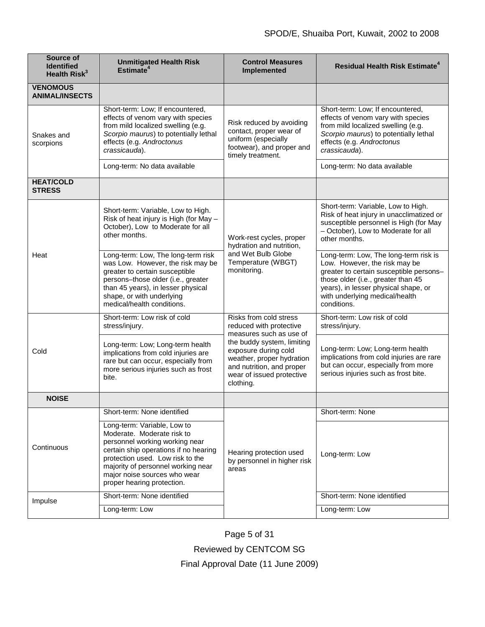| Source of<br><b>Identified</b><br>Health Risk <sup>3</sup> | <b>Unmitigated Health Risk</b><br>Estimate <sup>4</sup>                                                                                                                                                                                                                      | <b>Control Measures</b><br>Implemented                                                                                                                                                                                                 | <b>Residual Health Risk Estimate<sup>4</sup></b>                                                                                                                                                                                                 |
|------------------------------------------------------------|------------------------------------------------------------------------------------------------------------------------------------------------------------------------------------------------------------------------------------------------------------------------------|----------------------------------------------------------------------------------------------------------------------------------------------------------------------------------------------------------------------------------------|--------------------------------------------------------------------------------------------------------------------------------------------------------------------------------------------------------------------------------------------------|
| <b>VENOMOUS</b><br><b>ANIMAL/INSECTS</b>                   |                                                                                                                                                                                                                                                                              |                                                                                                                                                                                                                                        |                                                                                                                                                                                                                                                  |
| Snakes and<br>scorpions                                    | Short-term: Low; If encountered,<br>effects of venom vary with species<br>from mild localized swelling (e.g.<br>Scorpio maurus) to potentially lethal<br>effects (e.g. Androctonus<br>crassicauda).                                                                          | Risk reduced by avoiding<br>contact, proper wear of<br>uniform (especially<br>footwear), and proper and<br>timely treatment.                                                                                                           | Short-term: Low; If encountered,<br>effects of venom vary with species<br>from mild localized swelling (e.g.<br>Scorpio maurus) to potentially lethal<br>effects (e.g. Androctonus<br>crassicauda).                                              |
|                                                            | Long-term: No data available                                                                                                                                                                                                                                                 |                                                                                                                                                                                                                                        | Long-term: No data available                                                                                                                                                                                                                     |
| <b>HEAT/COLD</b><br><b>STRESS</b>                          |                                                                                                                                                                                                                                                                              |                                                                                                                                                                                                                                        |                                                                                                                                                                                                                                                  |
| Heat                                                       | Short-term: Variable, Low to High.<br>Risk of heat injury is High (for May -<br>October), Low to Moderate for all<br>other months.                                                                                                                                           | Work-rest cycles, proper<br>hydration and nutrition,<br>and Wet Bulb Globe<br>Temperature (WBGT)<br>monitoring.                                                                                                                        | Short-term: Variable, Low to High.<br>Risk of heat injury in unacclimatized or<br>susceptible personnel is High (for May<br>- October), Low to Moderate for all<br>other months.                                                                 |
|                                                            | Long-term: Low, The long-term risk<br>was Low. However, the risk may be<br>greater to certain susceptible<br>persons-those older (i.e., greater<br>than 45 years), in lesser physical<br>shape, or with underlying<br>medical/health conditions.                             |                                                                                                                                                                                                                                        | Long-term: Low, The long-term risk is<br>Low. However, the risk may be<br>greater to certain susceptible persons-<br>those older (i.e., greater than 45<br>years), in lesser physical shape, or<br>with underlying medical/health<br>conditions. |
| Cold                                                       | Short-term: Low risk of cold<br>stress/injury.                                                                                                                                                                                                                               | Risks from cold stress<br>reduced with protective<br>measures such as use of<br>the buddy system, limiting<br>exposure during cold<br>weather, proper hydration<br>and nutrition, and proper<br>wear of issued protective<br>clothing. | Short-term: Low risk of cold<br>stress/injury.                                                                                                                                                                                                   |
|                                                            | Long-term: Low; Long-term health<br>implications from cold injuries are<br>rare but can occur, especially from<br>more serious injuries such as frost<br>bite.                                                                                                               |                                                                                                                                                                                                                                        | Long-term: Low; Long-term health<br>implications from cold injuries are rare<br>but can occur, especially from more<br>serious injuries such as frost bite.                                                                                      |
| <b>NOISE</b>                                               |                                                                                                                                                                                                                                                                              |                                                                                                                                                                                                                                        |                                                                                                                                                                                                                                                  |
| Continuous                                                 | Short-term: None identified                                                                                                                                                                                                                                                  | Hearing protection used<br>by personnel in higher risk<br>areas                                                                                                                                                                        | Short-term: None                                                                                                                                                                                                                                 |
|                                                            | Long-term: Variable, Low to<br>Moderate. Moderate risk to<br>personnel working working near<br>certain ship operations if no hearing<br>protection used. Low risk to the<br>majority of personnel working near<br>major noise sources who wear<br>proper hearing protection. |                                                                                                                                                                                                                                        | Long-term: Low                                                                                                                                                                                                                                   |
| Impulse                                                    | Short-term: None identified                                                                                                                                                                                                                                                  |                                                                                                                                                                                                                                        | Short-term: None identified                                                                                                                                                                                                                      |
|                                                            | Long-term: Low                                                                                                                                                                                                                                                               |                                                                                                                                                                                                                                        | Long-term: Low                                                                                                                                                                                                                                   |

Page 5 of 31

Reviewed by CENTCOM SG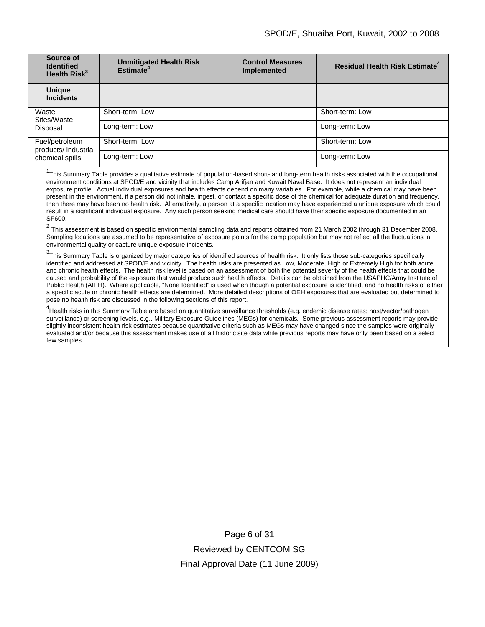| Source of<br><b>Identified</b><br>Health $Risk^3$         | <b>Unmitigated Health Risk</b><br>Estimate <sup>4</sup> | <b>Control Measures</b><br><b>Implemented</b> | <b>Residual Health Risk Estimate<sup>4</sup></b> |
|-----------------------------------------------------------|---------------------------------------------------------|-----------------------------------------------|--------------------------------------------------|
| <b>Unique</b><br><b>Incidents</b>                         |                                                         |                                               |                                                  |
| Waste<br>Sites/Waste<br>Disposal                          | Short-term: Low                                         |                                               | Short-term: Low                                  |
|                                                           | Long-term: Low                                          |                                               | Long-term: Low                                   |
| Fuel/petroleum<br>products/ industrial<br>chemical spills | Short-term: Low                                         |                                               | Short-term: Low                                  |
|                                                           | Long-term: Low                                          |                                               | Long-term: Low                                   |

<sup>1</sup>This Summary Table provides a qualitative estimate of population-based short- and long-term health risks associated with the occupational environment conditions at SPOD/E and vicinity that includes Camp Arifjan and Kuwait Naval Base. It does not represent an individual exposure profile. Actual individual exposures and health effects depend on many variables. For example, while a chemical may have been present in the environment, if a person did not inhale, ingest, or contact a specific dose of the chemical for adequate duration and frequency, then there may have been no health risk. Alternatively, a person at a specific location may have experienced a unique exposure which could result in a significant individual exposure. Any such person seeking medical care should have their specific exposure documented in an SF600.

<sup>2</sup> This assessment is based on specific environmental sampling data and reports obtained from 21 March 2002 through 31 December 2008. Sampling locations are assumed to be representative of exposure points for the camp population but may not reflect all the fluctuations in environmental quality or capture unique exposure incidents.

 $^3$ This Summary Table is organized by major categories of identified sources of health risk. It only lists those sub-categories specifically identified and addressed at SPOD/E and vicinity. The health risks are presented as Low, Moderate, High or Extremely High for both acute and chronic health effects. The health risk level is based on an assessment of both the potential severity of the health effects that could be caused and probability of the exposure that would produce such health effects. Details can be obtained from the USAPHC/Army Institute of Public Health (AIPH). Where applicable, "None Identified" is used when though a potential exposure is identified, and no health risks of either a specific acute or chronic health effects are determined. More detailed descriptions of OEH exposures that are evaluated but determined to pose no health risk are discussed in the following sections of this report.

<sup>4</sup><br>Health risks in this Summary Table are based on quantitative surveillance thresholds (e.g. endemic disease rates; host/vector/pathogen surveillance) or screening levels, e.g., Military Exposure Guidelines (MEGs) for chemicals*.* Some previous assessment reports may provide slightly inconsistent health risk estimates because quantitative criteria such as MEGs may have changed since the samples were originally evaluated and/or because this assessment makes use of all historic site data while previous reports may have only been based on a select few samples.

> Page 6 of 31 Reviewed by CENTCOM SG Final Approval Date (11 June 2009)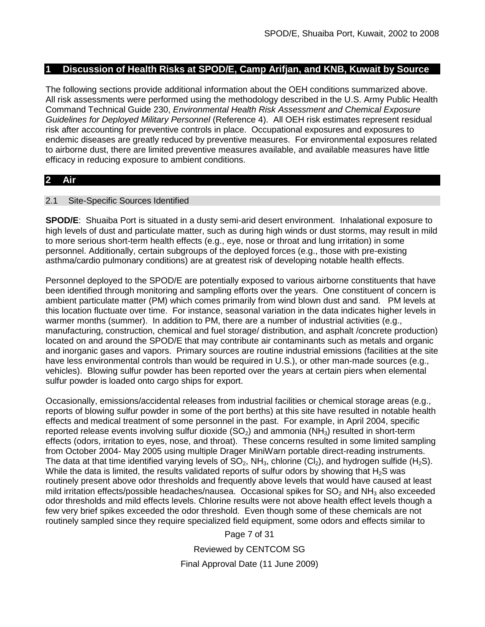# **1 Discussion of Health Risks at SPOD/E, Camp Arifjan, and KNB, Kuwait by Source**

The following sections provide additional information about the OEH conditions summarized above. All risk assessments were performed using the methodology described in the U.S. Army Public Health Command Technical Guide 230, *Environmental Health Risk Assessment and Chemical Exposure Guidelines for Deployed Military Personnel* (Reference 4). All OEH risk estimates represent residual risk after accounting for preventive controls in place. Occupational exposures and exposures to endemic diseases are greatly reduced by preventive measures. For environmental exposures related to airborne dust, there are limited preventive measures available, and available measures have little efficacy in reducing exposure to ambient conditions.

# **2 Air**

# 2.1 Site-Specific Sources Identified

**SPOD/E**: Shuaiba Port is situated in a dusty semi-arid desert environment. Inhalational exposure to high levels of dust and particulate matter, such as during high winds or dust storms, may result in mild to more serious short-term health effects (e.g., eye, nose or throat and lung irritation) in some personnel. Additionally, certain subgroups of the deployed forces (e.g., those with pre-existing asthma/cardio pulmonary conditions) are at greatest risk of developing notable health effects.

Personnel deployed to the SPOD/E are potentially exposed to various airborne constituents that have been identified through monitoring and sampling efforts over the years. One constituent of concern is ambient particulate matter (PM) which comes primarily from wind blown dust and sand. PM levels at this location fluctuate over time. For instance, seasonal variation in the data indicates higher levels in warmer months (summer). In addition to PM, there are a number of industrial activities (e.g., manufacturing, construction, chemical and fuel storage/ distribution, and asphalt /concrete production) located on and around the SPOD/E that may contribute air contaminants such as metals and organic and inorganic gases and vapors. Primary sources are routine industrial emissions (facilities at the site have less environmental controls than would be required in U.S.), or other man-made sources (e.g., vehicles). Blowing sulfur powder has been reported over the years at certain piers when elemental sulfur powder is loaded onto cargo ships for export.

Occasionally, emissions/accidental releases from industrial facilities or chemical storage areas (e.g., reports of blowing sulfur powder in some of the port berths) at this site have resulted in notable health effects and medical treatment of some personnel in the past. For example, in April 2004, specific reported release events involving sulfur dioxide  $(SO<sub>2</sub>)$  and ammonia  $(NH<sub>3</sub>)$  resulted in short-term effects (odors, irritation to eyes, nose, and throat). These concerns resulted in some limited sampling from October 2004- May 2005 using multiple Drager MiniWarn portable direct-reading instruments. The data at that time identified varying levels of  $SO_2$ , NH<sub>3</sub>, chlorine (Cl<sub>2</sub>), and hydrogen sulfide (H<sub>2</sub>S). While the data is limited, the results validated reports of sulfur odors by showing that  $H_2S$  was routinely present above odor thresholds and frequently above levels that would have caused at least mild irritation effects/possible headaches/nausea. Occasional spikes for  $SO<sub>2</sub>$  and NH<sub>3</sub> also exceeded odor thresholds and mild effects levels. Chlorine results were not above health effect levels though a few very brief spikes exceeded the odor threshold. Even though some of these chemicals are not routinely sampled since they require specialized field equipment, some odors and effects similar to

Page 7 of 31

Reviewed by CENTCOM SG Final Approval Date (11 June 2009)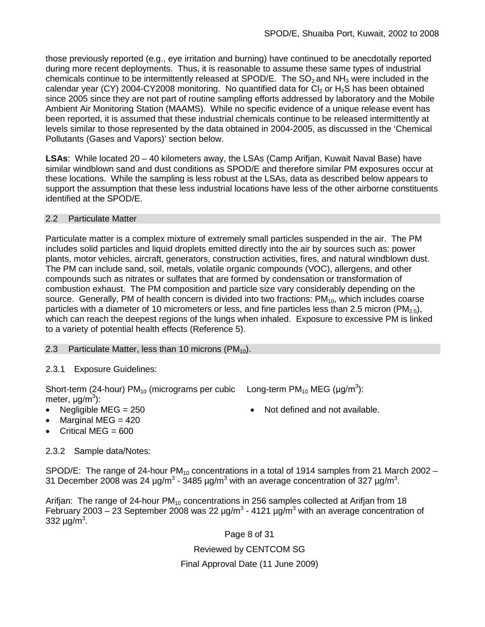those previously reported (e.g., eye irritation and burning) have continued to be anecdotally reported during more recent deployments. Thus, it is reasonable to assume these same types of industrial chemicals continue to be intermittently released at SPOD/E. The  $SO<sub>2</sub>$  and NH<sub>3</sub> were included in the calendar year (CY) 2004-CY2008 monitoring. No quantified data for  $Cl_2$  or  $H_2S$  has been obtained since 2005 since they are not part of routine sampling efforts addressed by laboratory and the Mobile Ambient Air Monitoring Station (MAAMS). While no specific evidence of a unique release event has been reported, it is assumed that these industrial chemicals continue to be released intermittently at levels similar to those represented by the data obtained in 2004-2005, as discussed in the 'Chemical Pollutants (Gases and Vapors)' section below.

**LSAs**: While located 20 – 40 kilometers away, the LSAs (Camp Arifjan, Kuwait Naval Base) have similar windblown sand and dust conditions as SPOD/E and therefore similar PM exposures occur at these locations. While the sampling is less robust at the LSAs, data as described below appears to support the assumption that these less industrial locations have less of the other airborne constituents identified at the SPOD/E.

# 2.2 Particulate Matter

Particulate matter is a complex mixture of extremely small particles suspended in the air. The PM includes solid particles and liquid droplets emitted directly into the air by sources such as: power plants, motor vehicles, aircraft, generators, construction activities, fires, and natural windblown dust. The PM can include sand, soil, metals, volatile organic compounds (VOC), allergens, and other compounds such as nitrates or sulfates that are formed by condensation or transformation of combustion exhaust. The PM composition and particle size vary considerably depending on the source. Generally, PM of health concern is divided into two fractions:  $PM_{10}$ , which includes coarse particles with a diameter of 10 micrometers or less, and fine particles less than 2.5 micron (PM<sub>2.5</sub>), which can reach the deepest regions of the lungs when inhaled. Exposure to excessive PM is linked to a variety of potential health effects (Reference 5).

# 2.3 Particulate Matter, less than 10 microns  $(PM_{10})$ .

2.3.1 Exposure Guidelines:

Short-term (24-hour) PM<sub>10</sub> (micrograms per cubic Long-term PM<sub>10</sub> MEG ( $\mu$ g/m<sup>3</sup>): meter, μg/m<sup>3</sup>):

- - Marginal MEG  $= 420$
- Critical MEG  $= 600$

# 2.3.2 Sample data/Notes:

SPOD/E: The range of 24-hour  $PM_{10}$  concentrations in a total of 1914 samples from 21 March 2002 – 31 December 2008 was 24  $\mu$ g/m<sup>3</sup> - 3485  $\mu$ g/m<sup>3</sup> with an average concentration of 327  $\mu$ g/m<sup>3</sup>.

Arifian: The range of 24-hour  $PM_{10}$  concentrations in 256 samples collected at Arifian from 18 February 2003 – 23 September 2008 was 22  $\mu q/m^3$  - 4121  $\mu q/m^3$  with an average concentration of 332  $\mu$ g/m<sup>3</sup>.

Page 8 of 31

Reviewed by CENTCOM SG

Final Approval Date (11 June 2009)

• Negligible MEG = 250 • Not defined and not available.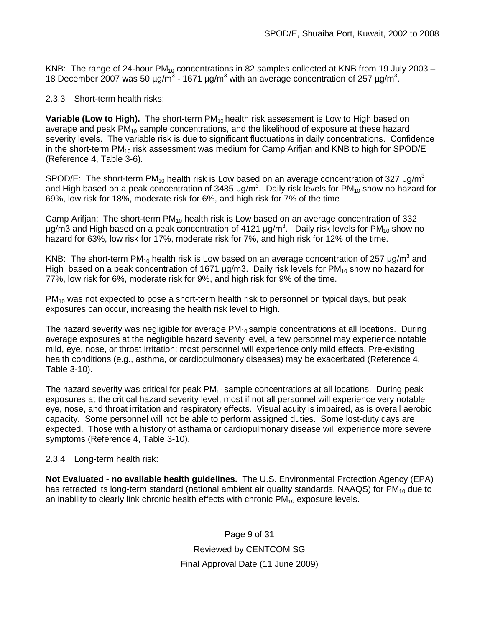KNB: The range of 24-hour  $PM_{10}$  concentrations in 82 samples collected at KNB from 19 July 2003 – 18 December 2007 was 50  $\mu$ g/m<sup>3</sup> - 1671  $\mu$ g/m<sup>3</sup> with an average concentration of 257  $\mu$ g/m<sup>3</sup>.

2.3.3 Short-term health risks:

**Variable (Low to High).** The short-term PM<sub>10</sub> health risk assessment is Low to High based on average and peak  $PM_{10}$  sample concentrations, and the likelihood of exposure at these hazard severity levels. The variable risk is due to significant fluctuations in daily concentrations. Confidence in the short-term  $PM_{10}$  risk assessment was medium for Camp Arifjan and KNB to high for SPOD/E (Reference 4, Table 3-6).

SPOD/E: The short-term PM<sub>10</sub> health risk is Low based on an average concentration of 327  $\mu$ g/m<sup>3</sup> and High based on a peak concentration of 3485  $\mu$ g/m<sup>3</sup>. Daily risk levels for PM<sub>10</sub> show no hazard for 69%, low risk for 18%, moderate risk for 6%, and high risk for 7% of the time

Camp Arifjan: The short-term  $PM_{10}$  health risk is Low based on an average concentration of 332 μg/m3 and High based on a peak concentration of 4121 μg/m<sup>3</sup>. Daily risk levels for PM<sub>10</sub> show no hazard for 63%, low risk for 17%, moderate risk for 7%, and high risk for 12% of the time.

KNB: The short-term PM<sub>10</sub> health risk is Low based on an average concentration of 257 ug/m<sup>3</sup> and High based on a peak concentration of 1671  $\mu$ g/m3. Daily risk levels for PM<sub>10</sub> show no hazard for 77%, low risk for 6%, moderate risk for 9%, and high risk for 9% of the time.

 $PM_{10}$  was not expected to pose a short-term health risk to personnel on typical days, but peak exposures can occur, increasing the health risk level to High.

The hazard severity was negligible for average  $PM_{10}$  sample concentrations at all locations. During average exposures at the negligible hazard severity level, a few personnel may experience notable mild, eye, nose, or throat irritation; most personnel will experience only mild effects. Pre-existing health conditions (e.g., asthma, or cardiopulmonary diseases) may be exacerbated (Reference 4, Table 3-10).

The hazard severity was critical for peak  $PM_{10}$  sample concentrations at all locations. During peak exposures at the critical hazard severity level, most if not all personnel will experience very notable eye, nose, and throat irritation and respiratory effects. Visual acuity is impaired, as is overall aerobic capacity. Some personnel will not be able to perform assigned duties. Some lost-duty days are expected. Those with a history of asthama or cardiopulmonary disease will experience more severe symptoms (Reference 4, Table 3-10).

2.3.4 Long-term health risk:

**Not Evaluated - no available health guidelines.** The U.S. Environmental Protection Agency (EPA) has retracted its long-term standard (national ambient air quality standards, NAAQS) for  $PM_{10}$  due to an inability to clearly link chronic health effects with chronic  $PM_{10}$  exposure levels.

> Page 9 of 31 Reviewed by CENTCOM SG Final Approval Date (11 June 2009)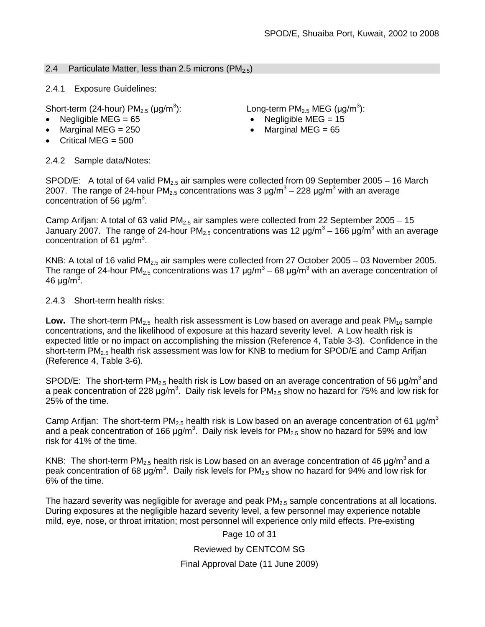# 2.4 Particulate Matter, less than 2.5 microns (PM<sub>2.5</sub>)

2.4.1 Exposure Guidelines:

Short-term (24-hour)  $PM<sub>2.5</sub>$  ( $\mu$ g/m<sup>3</sup>):

- 
- Marginal MEG  $= 250$
- Critical MEG  $= 500$

): Long-term PM<sub>2.5</sub> MEG (µg/m<sup>3</sup>):

- Negligible MEG = 65 Negligible MEG = 15
	- Marginal MEG  $= 65$

2.4.2 Sample data/Notes:

SPOD/E: A total of 64 valid  $PM_{2.5}$  air samples were collected from 09 September 2005 – 16 March 2007. The range of 24-hour PM<sub>2.5</sub> concentrations was 3  $\mu$ g/m<sup>3</sup> – 228  $\mu$ g/m<sup>3</sup> with an average concentration of 56  $\mu$ g/m<sup>3</sup>.

Camp Arifjan: A total of 63 valid  $PM_{2.5}$  air samples were collected from 22 September 2005 – 15 January 2007. The range of 24-hour PM<sub>2.5</sub> concentrations was 12  $\mu$ g/m<sup>3</sup> – 166  $\mu$ g/m<sup>3</sup> with an average concentration of 61  $\mu$ g/m<sup>3</sup>.

KNB: A total of 16 valid PM<sub>2.5</sub> air samples were collected from 27 October 2005 – 03 November 2005. The range of 24-hour PM<sub>2.5</sub> concentrations was 17  $\mu$ g/m<sup>3</sup> – 68  $\mu$ g/m<sup>3</sup> with an average concentration of 46 μg/m<sup>3</sup>.

2.4.3 Short-term health risks:

Low. The short-term PM<sub>2.5</sub> health risk assessment is Low based on average and peak PM<sub>10</sub> sample concentrations, and the likelihood of exposure at this hazard severity level. A Low health risk is expected little or no impact on accomplishing the mission (Reference 4, Table 3-3). Confidence in the short-term  $PM<sub>2.5</sub>$  health risk assessment was low for KNB to medium for SPOD/E and Camp Arifian (Reference 4, Table 3-6).

SPOD/E: The short-term PM<sub>2.5</sub> health risk is Low based on an average concentration of 56  $\mu$ g/m<sup>3</sup> and a peak concentration of 228  $\mu$ g/m<sup>3</sup>. Daily risk levels for PM<sub>2.5</sub> show no hazard for 75% and low risk for 25% of the time.

Camp Arifjan: The short-term PM<sub>2.5</sub> health risk is Low based on an average concentration of 61  $\mu$ g/m<sup>3</sup> and a peak concentration of 166  $\mu$ g/m<sup>3</sup>. Daily risk levels for PM<sub>2.5</sub> show no hazard for 59% and low risk for 41% of the time.

KNB: The short-term PM<sub>2.5</sub> health risk is Low based on an average concentration of 46  $\mu$ g/m<sup>3</sup> and a peak concentration of 68 μg/m<sup>3</sup>. Daily risk levels for PM<sub>2.5</sub> show no hazard for 94% and low risk for 6% of the time.

The hazard severity was negligible for average and peak  $PM<sub>2.5</sub>$  sample concentrations at all locations. During exposures at the negligible hazard severity level, a few personnel may experience notable mild, eye, nose, or throat irritation; most personnel will experience only mild effects. Pre-existing

Page 10 of 31

Reviewed by CENTCOM SG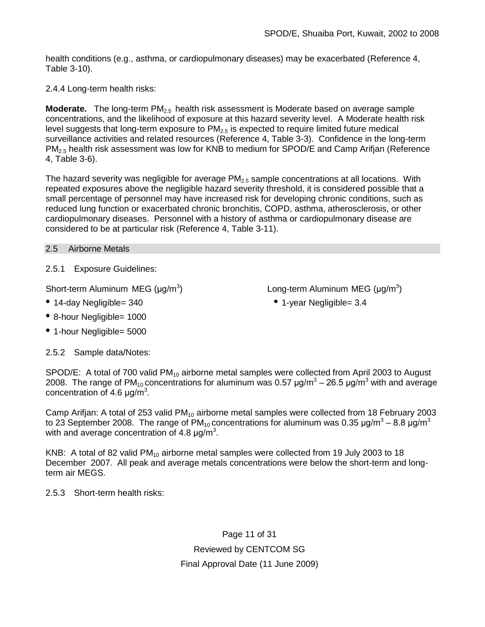health conditions (e.g., asthma, or cardiopulmonary diseases) may be exacerbated (Reference 4, Table 3-10).

2.4.4 Long-term health risks:

**Moderate.** The long-term PM<sub>2.5</sub> health risk assessment is Moderate based on average sample concentrations, and the likelihood of exposure at this hazard severity level. A Moderate health risk level suggests that long-term exposure to  $PM_{2.5}$  is expected to require limited future medical surveillance activities and related resources (Reference 4, Table 3-3). Confidence in the long-term  $PM<sub>2.5</sub>$  health risk assessment was low for KNB to medium for SPOD/E and Camp Arifjan (Reference 4, Table 3-6).

The hazard severity was negligible for average  $PM<sub>2.5</sub>$  sample concentrations at all locations. With repeated exposures above the negligible hazard severity threshold, it is considered possible that a small percentage of personnel may have increased risk for developing chronic conditions, such as reduced lung function or exacerbated chronic bronchitis, COPD, asthma, atherosclerosis, or other cardiopulmonary diseases. Personnel with a history of asthma or cardiopulmonary disease are considered to be at particular risk (Reference 4, Table 3-11).

# 2.5 Airborne Metals

2.5.1 Exposure Guidelines:

Short-term Aluminum MEG  $(\mu g/m^3)$ ) Long-term Aluminum MEG (μg/m<sup>3</sup>)

- 14-day Negligible= 340 1-year Negligible= 3.4
- 8-hour Negligible= 1000
- 1-hour Negligible= 5000

2.5.2 Sample data/Notes:

concentration of 4.6  $\mu$ g/m<sup>3</sup>.

SPOD/E: A total of 700 valid PM<sub>10</sub> airborne metal samples were collected from April 2003 to August 2008. The range of PM<sub>10</sub> concentrations for aluminum was 0.57  $\mu q/m^3 - 26.5 \mu q/m^3$  with and average

Camp Arifjan: A total of 253 valid PM<sub>10</sub> airborne metal samples were collected from 18 February 2003 to 23 September 2008. The range of  $PM_{10}$  concentrations for aluminum was 0.35  $\mu q/m^3 - 8.8 \mu q/m^3$ with and average concentration of 4.8  $\mu$ g/m<sup>3</sup>.

KNB: A total of 82 valid  $PM_{10}$  airborne metal samples were collected from 19 July 2003 to 18 December 2007. All peak and average metals concentrations were below the short-term and longterm air MEGS.

2.5.3 Short-term health risks:

Page 11 of 31 Reviewed by CENTCOM SG Final Approval Date (11 June 2009)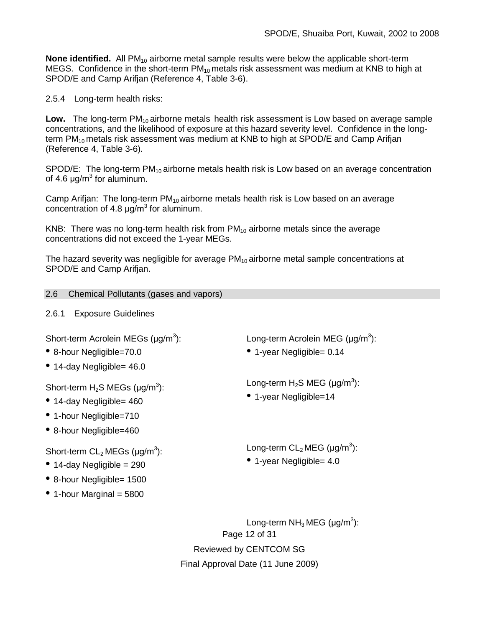**None identified.** All PM<sub>10</sub> airborne metal sample results were below the applicable short-term MEGS. Confidence in the short-term  $PM_{10}$  metals risk assessment was medium at KNB to high at SPOD/E and Camp Arifjan (Reference 4, Table 3-6).

2.5.4 Long-term health risks:

Low. The long-term PM<sub>10</sub> airborne metals health risk assessment is Low based on average sample concentrations, and the likelihood of exposure at this hazard severity level. Confidence in the longterm  $PM_{10}$  metals risk assessment was medium at KNB to high at SPOD/E and Camp Arifjan (Reference 4, Table 3-6).

SPOD/E: The long-term  $PM_{10}$  airborne metals health risk is Low based on an average concentration of 4.6  $\mu$ g/m<sup>3</sup> for aluminum.

Camp Arifjan: The long-term  $PM_{10}$  airborne metals health risk is Low based on an average concentration of 4.8  $\mu$ g/m<sup>3</sup> for aluminum.

KNB: There was no long-term health risk from  $PM_{10}$  airborne metals since the average concentrations did not exceed the 1-year MEGs.

The hazard severity was negligible for average  $PM_{10}$  airborne metal sample concentrations at SPOD/E and Camp Arifjan.

2.6 Chemical Pollutants (gases and vapors)

2.6.1 Exposure Guidelines

Short-term Acrolein MEGs  $(\mu q/m^3)$ :

- 8-hour Negligible=70.0
- 14-day Negligible= 46.0

Short-term  $H_2S$  MEGs ( $\mu$ g/m<sup>3</sup>):

- 14-day Negligible= 460
- 1-hour Negligible=710
- 8-hour Negligible=460

Short-term  $CL_2$  MEGs ( $\mu$ g/m<sup>3</sup>):

- $\bullet$  14-day Negligible = 290
- 8-hour Negligible= 1500
- $\bullet$  1-hour Marginal = 5800

): Long-term Acrolein MEG ( $\mu$ g/m $^3$ ):

• 1-year Negligible= 0.14

Long-term  $H_2S$  MEG (µg/m $^3$ ):

• 1-year Negligible=14

Long-term  $\mathsf{CL}_2\mathsf{MEG}$  (µg/m<sup>3</sup>):

• 1-year Negligible= 4.0

Page 12 of 31 Reviewed by CENTCOM SG Final Approval Date (11 June 2009) Long-term  $NH_3$  MEG (µg/m $^3$ ):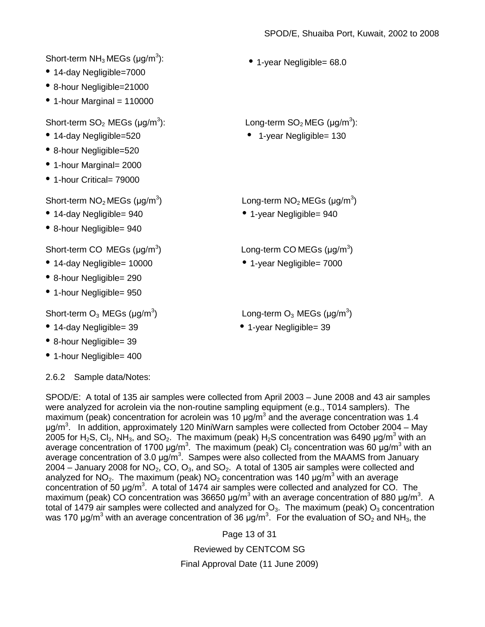Short-term  $NH<sub>3</sub>MEGs$  (µg/m $<sup>3</sup>$ ):</sup> • 14-day Negligible=7000 • 8-hour Negligible=21000  $\bullet$  1-hour Marginal = 110000 • 1-year Negligible= 68.0 Short-term  $SO<sub>2</sub>$  MEGs ( $\mu$ g/m<sup>3</sup>): ): Long-term  $SO_2$  MEG (µg/m<sup>3</sup>): • 14-day Negligible=520 • 1-year Negligible= 130 • 8-hour Negligible=520 • 1-hour Marginal= 2000 • 1-hour Critical= 79000 Short-term  $NO<sub>2</sub> MEGs (µg/m<sup>3</sup>)$  $\log\left(1-\frac{1}{2}\right)$  Long-term NO<sub>2</sub> MEGs ( $\log(m^3)$ • 14-day Negligible= 940 • 1-year Negligible= 940 • 8-hour Negligible= 940 Short-term CO MEGs  $(\mu q/m^3)$  $\Box$ ) Long-term COMEGs ( $\mu$ g/m<sup>3</sup>) • 14-day Negligible= 10000 • 1-year Negligible= 7000 • 8-hour Negligible= 290 • 1-hour Negligible= 950 Short-term  $O_3$  MEGs ( $\mu$ g/m<sup>3</sup>)  $\Box$ ) Long-term O<sub>3</sub> MEGs (µg/m<sup>3</sup>) • 14-day Negligible= 39 • 1-year Negligible= 39 • 8-hour Negligible= 39

• 1-hour Negligible= 400

2.6.2 Sample data/Notes:

SPOD/E: A total of 135 air samples were collected from April 2003 – June 2008 and 43 air samples were analyzed for acrolein via the non-routine sampling equipment (e.g., T014 samplers). The maximum (peak) concentration for acrolein was 10  $\mu$ g/m<sup>3</sup> and the average concentration was 1.4 μg/m<sup>3</sup>. In addition, approximately 120 MiniWarn samples were collected from October 2004 – May 2005 for H<sub>2</sub>S, Cl<sub>2</sub>, NH<sub>3</sub>, and SO<sub>2</sub>. The maximum (peak) H<sub>2</sub>S concentration was 6490 µg/m<sup>3</sup> with an average concentration of 1700 μg/m<sup>3</sup>. The maximum (peak) Cl<sub>2</sub> concentration was 60 μg/m<sup>3</sup> with an average concentration of 3.0  $\mu$ g/m<sup>3</sup>. Sampes were also collected from the MAAMS from January 2004 – January 2008 for NO<sub>2</sub>, CO, O<sub>3</sub>, and SO<sub>2</sub>. A total of 1305 air samples were collected and analyzed for NO<sub>2</sub>. The maximum (peak) NO<sub>2</sub> concentration was 140  $\mu$ g/m<sup>3</sup> with an average concentration of 50  $\mu$ g/m<sup>3</sup>. A total of 1474 air samples were collected and analyzed for CO. The maximum (peak) CO concentration was 36650  $\mu$ g/m<sup>3</sup> with an average concentration of 880  $\mu$ g/m<sup>3</sup>. A total of 1479 air samples were collected and analyzed for  $O_3$ . The maximum (peak)  $O_3$  concentration was 170 μg/m<sup>3</sup> with an average concentration of 36 μg/m<sup>3</sup>. For the evaluation of SO<sub>2</sub> and NH<sub>3</sub>, the

> Page 13 of 31 Reviewed by CENTCOM SG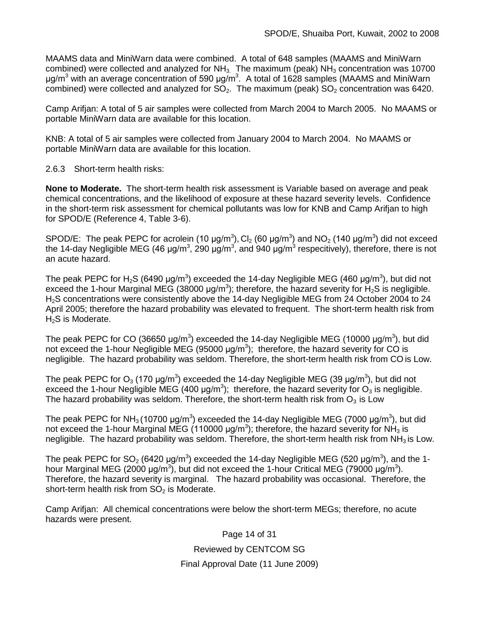MAAMS data and MiniWarn data were combined. A total of 648 samples (MAAMS and MiniWarn combined) were collected and analyzed for  $NH<sub>3</sub>$ . The maximum (peak)  $NH<sub>3</sub>$  concentration was 10700 μg/m<sup>3</sup> with an average concentration of 590 μg/m<sup>3</sup>. A total of 1628 samples (MAAMS and MiniWarn combined) were collected and analyzed for  $SO_2$ . The maximum (peak)  $SO_2$  concentration was 6420.

Camp Arifjan: A total of 5 air samples were collected from March 2004 to March 2005. No MAAMS or portable MiniWarn data are available for this location.

KNB: A total of 5 air samples were collected from January 2004 to March 2004. No MAAMS or portable MiniWarn data are available for this location.

2.6.3 Short-term health risks:

**None to Moderate.** The short-term health risk assessment is Variable based on average and peak chemical concentrations, and the likelihood of exposure at these hazard severity levels. Confidence in the short-term risk assessment for chemical pollutants was low for KNB and Camp Arifjan to high for SPOD/E (Reference 4, Table 3-6).

SPOD/E: The peak PEPC for acrolein (10  $\mu$ g/m<sup>3</sup>), Cl<sub>2</sub> (60  $\mu$ g/m<sup>3</sup>) and NO<sub>2</sub> (140  $\mu$ g/m<sup>3</sup>) did not exceed the 14-day Negligible MEG (46 μg/m<sup>3</sup>, 290 μg/m<sup>3</sup>, and 940 μg/m<sup>3</sup> respecitively), therefore, there is not an acute hazard.

The peak PEPC for H<sub>2</sub>S (6490 µg/m<sup>3</sup>) exceeded the 14-day Negligible MEG (460 µg/m<sup>3</sup>), but did not exceed the 1-hour Marginal MEG (38000  $\mu$ g/m<sup>3</sup>); therefore, the hazard severity for  $H_2$ S is negligible. H2S concentrations were consistently above the 14-day Negligible MEG from 24 October 2004 to 24 April 2005; therefore the hazard probability was elevated to frequent. The short-term health risk from H<sub>2</sub>S is Moderate.

The peak PEPC for CO (36650  $\mu$ g/m<sup>3</sup>) exceeded the 14-day Negligible MEG (10000  $\mu$ g/m<sup>3</sup>), but did not exceed the 1-hour Negligible MEG (95000  $\mu$ g/m<sup>3</sup>); therefore, the hazard severity for CO is negligible. The hazard probability was seldom. Therefore, the short-term health risk from CO is Low.

The peak PEPC for O<sub>3</sub> (170 µg/m<sup>3</sup>) exceeded the 14-day Negligible MEG (39 µg/m<sup>3</sup>), but did not exceed the 1-hour Negligible MEG (400  $\mu$ g/m<sup>3</sup>); therefore, the hazard severity for  $O_3$  is negligible. The hazard probability was seldom. Therefore, the short-term health risk from  $O<sub>3</sub>$  is Low

The peak PEPC for NH<sub>3</sub> (10700 µg/m<sup>3</sup>) exceeded the 14-day Negligible MEG (7000 µg/m<sup>3</sup>), but did not exceed the 1-hour Marginal MEG (110000  $\mu$ g/m<sup>3</sup>); therefore, the hazard severity for NH<sub>3</sub> is negligible. The hazard probability was seldom. Therefore, the short-term health risk from  $NH<sub>3</sub>$  is Low.

The peak PEPC for SO<sub>2</sub> (6420  $\mu$ g/m<sup>3</sup>) exceeded the 14-day Negligible MEG (520  $\mu$ g/m<sup>3</sup>), and the 1hour Marginal MEG (2000 μg/m<sup>3</sup>), but did not exceed the 1-hour Critical MEG (79000 μg/m<sup>3</sup>). Therefore, the hazard severity is marginal. The hazard probability was occasional. Therefore, the short-term health risk from  $SO<sub>2</sub>$  is Moderate.

Camp Arifjan: All chemical concentrations were below the short-term MEGs; therefore, no acute hazards were present.

> Page 14 of 31 Reviewed by CENTCOM SG Final Approval Date (11 June 2009)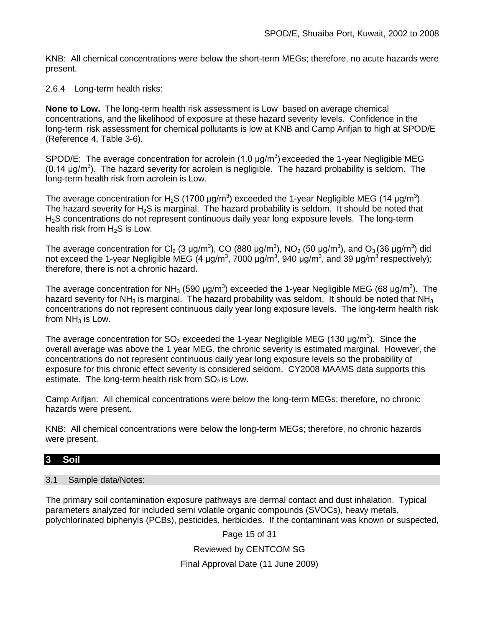KNB: All chemical concentrations were below the short-term MEGs; therefore, no acute hazards were present.

2.6.4 Long-term health risks:

**None to Low.** The long-term health risk assessment is Low based on average chemical concentrations, and the likelihood of exposure at these hazard severity levels. Confidence in the long-term risk assessment for chemical pollutants is low at KNB and Camp Arifjan to high at SPOD/E (Reference 4, Table 3-6).

SPOD/E: The average concentration for acrolein  $(1.0 \text{ µg/m}^3)$  exceeded the 1-year Negligible MEG  $(0.14 \mu g/m^3)$ . The hazard severity for acrolein is negligible. The hazard probability is seldom. The long-term health risk from acrolein is Low.

The average concentration for H<sub>2</sub>S (1700  $\mu$ g/m<sup>3</sup>) exceeded the 1-year Negligible MEG (14  $\mu$ g/m<sup>3</sup>). The hazard severity for  $H_2S$  is marginal. The hazard probability is seldom. It should be noted that H2S concentrations do not represent continuous daily year long exposure levels. The long-term health risk from  $H_2S$  is Low.

The average concentration for Cl<sub>2</sub> (3 µg/m<sup>3</sup>), CO (880 µg/m<sup>3</sup>), NO<sub>2</sub> (50 µg/m<sup>3</sup>), and O<sub>3</sub> (36 µg/m<sup>3</sup>) did not exceed the 1-year Negligible MEG (4 μg/m<sup>3</sup>, 7000 μg/m<sup>3</sup>, 940 μg/m<sup>3</sup>, and 39 μg/m<sup>3</sup> respectively); therefore, there is not a chronic hazard.

The average concentration for NH<sub>3</sub> (590 µg/m<sup>3</sup>) exceeded the 1-year Negligible MEG (68 µg/m<sup>3</sup>). The hazard severity for  $NH<sub>3</sub>$  is marginal. The hazard probability was seldom. It should be noted that  $NH<sub>3</sub>$ concentrations do not represent continuous daily year long exposure levels. The long-term health risk from  $NH<sub>3</sub>$  is Low.

The average concentration for SO<sub>2</sub> exceeded the 1-year Negligible MEG (130  $\mu$ g/m<sup>3</sup>). Since the overall average was above the 1 year MEG, the chronic severity is estimated marginal. However, the concentrations do not represent continuous daily year long exposure levels so the probability of exposure for this chronic effect severity is considered seldom. CY2008 MAAMS data supports this estimate. The long-term health risk from  $SO<sub>2</sub>$  is Low.

Camp Arifjan: All chemical concentrations were below the long-term MEGs; therefore, no chronic hazards were present.

KNB: All chemical concentrations were below the long-term MEGs; therefore, no chronic hazards were present.

# **3 Soil**

# 3.1 Sample data/Notes:

The primary soil contamination exposure pathways are dermal contact and dust inhalation. Typical parameters analyzed for included semi volatile organic compounds (SVOCs), heavy metals, polychlorinated biphenyls (PCBs), pesticides, herbicides. If the contaminant was known or suspected,

Page 15 of 31

Reviewed by CENTCOM SG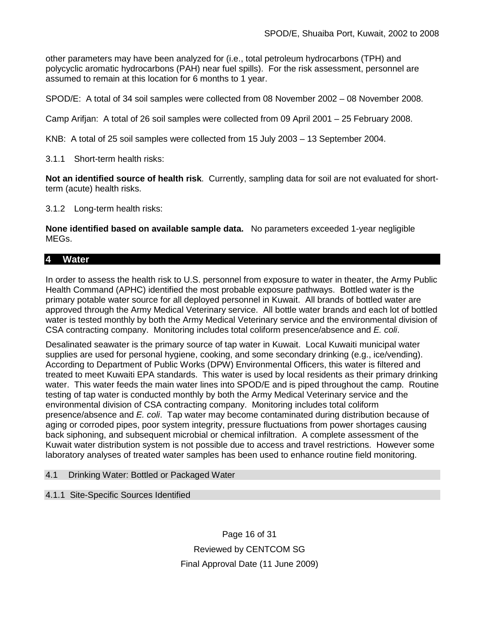other parameters may have been analyzed for (i.e., total petroleum hydrocarbons (TPH) and polycyclic aromatic hydrocarbons (PAH) near fuel spills). For the risk assessment, personnel are assumed to remain at this location for 6 months to 1 year.

SPOD/E: A total of 34 soil samples were collected from 08 November 2002 – 08 November 2008.

Camp Arifjan: A total of 26 soil samples were collected from 09 April 2001 – 25 February 2008.

KNB: A total of 25 soil samples were collected from 15 July 2003 – 13 September 2004.

3.1.1 Short-term health risks:

**Not an identified source of health risk**.Currently, sampling data for soil are not evaluated for shortterm (acute) health risks.

3.1.2 Long-term health risks:

**None identified based on available sample data.** No parameters exceeded 1-year negligible MEGs.

# **4 Water**

In order to assess the health risk to U.S. personnel from exposure to water in theater, the Army Public Health Command (APHC) identified the most probable exposure pathways. Bottled water is the primary potable water source for all deployed personnel in Kuwait. All brands of bottled water are approved through the Army Medical Veterinary service. All bottle water brands and each lot of bottled water is tested monthly by both the Army Medical Veterinary service and the environmental division of CSA contracting company. Monitoring includes total coliform presence/absence and *E. coli*.

Desalinated seawater is the primary source of tap water in Kuwait. Local Kuwaiti municipal water supplies are used for personal hygiene, cooking, and some secondary drinking (e.g., ice/vending). According to Department of Public Works (DPW) Environmental Officers, this water is filtered and treated to meet Kuwaiti EPA standards. This water is used by local residents as their primary drinking water. This water feeds the main water lines into SPOD/E and is piped throughout the camp. Routine testing of tap water is conducted monthly by both the Army Medical Veterinary service and the environmental division of CSA contracting company. Monitoring includes total coliform presence/absence and *E. coli*. Tap water may become contaminated during distribution because of aging or corroded pipes, poor system integrity, pressure fluctuations from power shortages causing back siphoning, and subsequent microbial or chemical infiltration. A complete assessment of the Kuwait water distribution system is not possible due to access and travel restrictions. However some laboratory analyses of treated water samples has been used to enhance routine field monitoring.

# 4.1 Drinking Water: Bottled or Packaged Water

# 4.1.1 Site-Specific Sources Identified

Page 16 of 31 Reviewed by CENTCOM SG Final Approval Date (11 June 2009)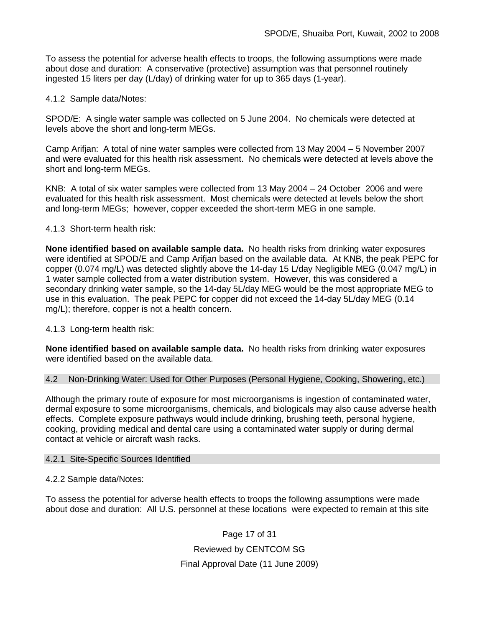To assess the potential for adverse health effects to troops, the following assumptions were made about dose and duration: A conservative (protective) assumption was that personnel routinely ingested 15 liters per day (L/day) of drinking water for up to 365 days (1-year).

4.1.2 Sample data/Notes:

SPOD/E: A single water sample was collected on 5 June 2004. No chemicals were detected at levels above the short and long-term MEGs.

Camp Arifjan: A total of nine water samples were collected from 13 May 2004 – 5 November 2007 and were evaluated for this health risk assessment. No chemicals were detected at levels above the short and long-term MEGs.

KNB: A total of six water samples were collected from 13 May 2004 – 24 October 2006 and were evaluated for this health risk assessment. Most chemicals were detected at levels below the short and long-term MEGs; however, copper exceeded the short-term MEG in one sample.

4.1.3 Short-term health risk:

**None identified based on available sample data.** No health risks from drinking water exposures were identified at SPOD/E and Camp Arifjan based on the available data. At KNB, the peak PEPC for copper (0.074 mg/L) was detected slightly above the 14-day 15 L/day Negligible MEG (0.047 mg/L) in 1 water sample collected from a water distribution system. However, this was considered a secondary drinking water sample, so the 14-day 5L/day MEG would be the most appropriate MEG to use in this evaluation. The peak PEPC for copper did not exceed the 14-day 5L/day MEG (0.14 mg/L); therefore, copper is not a health concern.

4.1.3 Long-term health risk:

**None identified based on available sample data.** No health risks from drinking water exposures were identified based on the available data.

4.2 Non-Drinking Water: Used for Other Purposes (Personal Hygiene, Cooking, Showering, etc.)

Although the primary route of exposure for most microorganisms is ingestion of contaminated water, dermal exposure to some microorganisms, chemicals, and biologicals may also cause adverse health effects. Complete exposure pathways would include drinking, brushing teeth, personal hygiene, cooking, providing medical and dental care using a contaminated water supply or during dermal contact at vehicle or aircraft wash racks.

# 4.2.1 Site-Specific Sources Identified

4.2.2 Sample data/Notes:

To assess the potential for adverse health effects to troops the following assumptions were made about dose and duration: All U.S. personnel at these locations were expected to remain at this site

> Page 17 of 31 Reviewed by CENTCOM SG Final Approval Date (11 June 2009)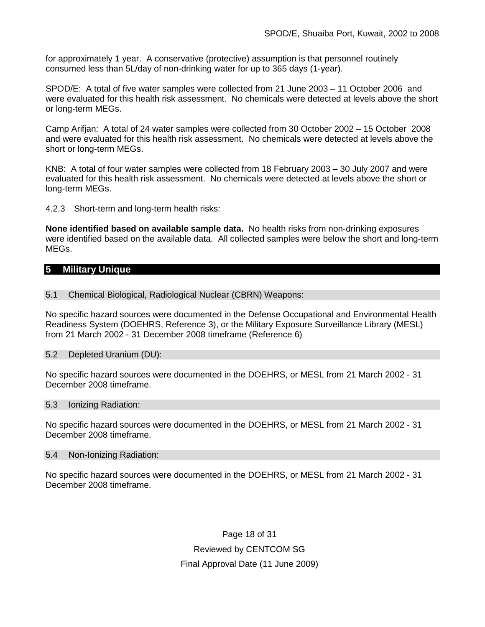for approximately 1 year. A conservative (protective) assumption is that personnel routinely consumed less than 5L/day of non-drinking water for up to 365 days (1-year).

SPOD/E: A total of five water samples were collected from 21 June 2003 – 11 October 2006 and were evaluated for this health risk assessment. No chemicals were detected at levels above the short or long-term MEGs.

Camp Arifjan: A total of 24 water samples were collected from 30 October 2002 – 15 October 2008 and were evaluated for this health risk assessment. No chemicals were detected at levels above the short or long-term MEGs.

KNB: A total of four water samples were collected from 18 February 2003 – 30 July 2007 and were evaluated for this health risk assessment. No chemicals were detected at levels above the short or long-term MEGs.

4.2.3 Short-term and long-term health risks:

**None identified based on available sample data.** No health risks from non-drinking exposures were identified based on the available data. All collected samples were below the short and long-term MEGs.

# **5 Military Unique**

#### 5.1 Chemical Biological, Radiological Nuclear (CBRN) Weapons:

No specific hazard sources were documented in the Defense Occupational and Environmental Health Readiness System (DOEHRS, Reference 3), or the Military Exposure Surveillance Library (MESL) from 21 March 2002 - 31 December 2008 timeframe (Reference 6)

#### 5.2 Depleted Uranium (DU):

No specific hazard sources were documented in the DOEHRS, or MESL from 21 March 2002 - 31 December 2008 timeframe.

#### 5.3 Ionizing Radiation:

No specific hazard sources were documented in the DOEHRS, or MESL from 21 March 2002 - 31 December 2008 timeframe.

#### 5.4 Non-Ionizing Radiation:

No specific hazard sources were documented in the DOEHRS, or MESL from 21 March 2002 - 31 December 2008 timeframe.

> Page 18 of 31 Reviewed by CENTCOM SG Final Approval Date (11 June 2009)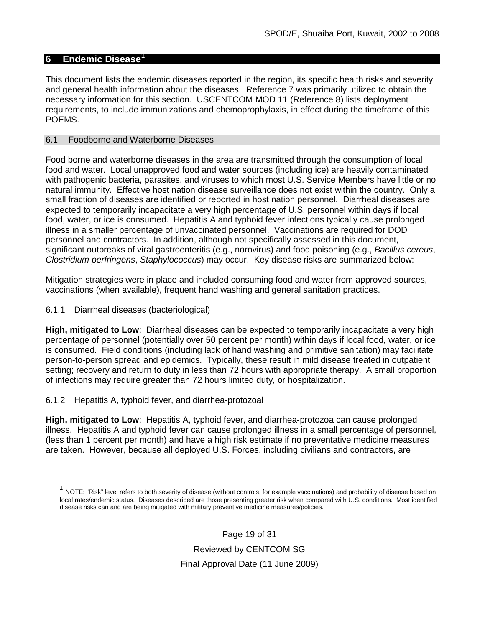# **6 Endemic Disease[1](#page-18-0)**

This document lists the endemic diseases reported in the region, its specific health risks and severity and general health information about the diseases. Reference 7 was primarily utilized to obtain the necessary information for this section. USCENTCOM MOD 11 (Reference 8) lists deployment requirements, to include immunizations and chemoprophylaxis, in effect during the timeframe of this POEMS.

### 6.1 Foodborne and Waterborne Diseases

Food borne and waterborne diseases in the area are transmitted through the consumption of local food and water. Local unapproved food and water sources (including ice) are heavily contaminated with pathogenic bacteria, parasites, and viruses to which most U.S. Service Members have little or no natural immunity. Effective host nation disease surveillance does not exist within the country. Only a small fraction of diseases are identified or reported in host nation personnel. Diarrheal diseases are expected to temporarily incapacitate a very high percentage of U.S. personnel within days if local food, water, or ice is consumed. Hepatitis A and typhoid fever infections typically cause prolonged illness in a smaller percentage of unvaccinated personnel. Vaccinations are required for DOD personnel and contractors. In addition, although not specifically assessed in this document, significant outbreaks of viral gastroenteritis (e.g., norovirus) and food poisoning (e.g., *Bacillus cereus*, *Clostridium perfringens*, *Staphylococcus*) may occur. Key disease risks are summarized below:

Mitigation strategies were in place and included consuming food and water from approved sources, vaccinations (when available), frequent hand washing and general sanitation practices.

### 6.1.1 Diarrheal diseases (bacteriological)

 $\overline{a}$ 

**High, mitigated to Low**: Diarrheal diseases can be expected to temporarily incapacitate a very high percentage of personnel (potentially over 50 percent per month) within days if local food, water, or ice is consumed. Field conditions (including lack of hand washing and primitive sanitation) may facilitate person-to-person spread and epidemics. Typically, these result in mild disease treated in outpatient setting; recovery and return to duty in less than 72 hours with appropriate therapy. A small proportion of infections may require greater than 72 hours limited duty, or hospitalization.

# 6.1.2 Hepatitis A, typhoid fever, and diarrhea-protozoal

**High, mitigated to Low**: Hepatitis A, typhoid fever, and diarrhea-protozoa can cause prolonged illness. Hepatitis A and typhoid fever can cause prolonged illness in a small percentage of personnel, (less than 1 percent per month) and have a high risk estimate if no preventative medicine measures are taken. However, because all deployed U.S. Forces, including civilians and contractors, are

Page 19 of 31 Reviewed by CENTCOM SG Final Approval Date (11 June 2009)

<span id="page-18-0"></span> $1$  NOTE: "Risk" level refers to both severity of disease (without controls, for example vaccinations) and probability of disease based on local rates/endemic status. Diseases described are those presenting greater risk when compared with U.S. conditions. Most identified disease risks can and are being mitigated with military preventive medicine measures/policies.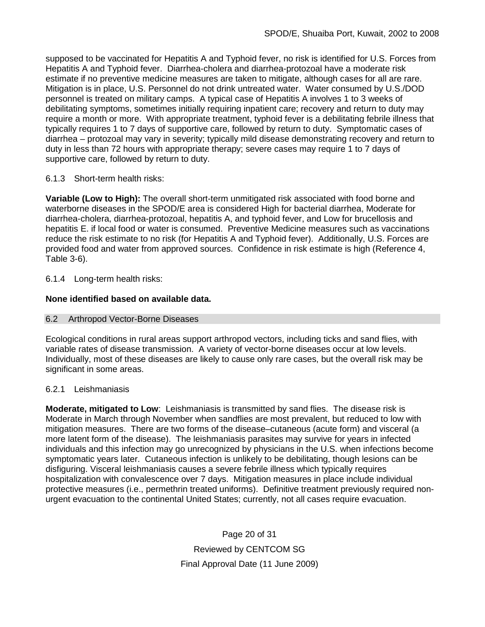supposed to be vaccinated for Hepatitis A and Typhoid fever, no risk is identified for U.S. Forces from Hepatitis A and Typhoid fever. Diarrhea-cholera and diarrhea-protozoal have a moderate risk estimate if no preventive medicine measures are taken to mitigate, although cases for all are rare. Mitigation is in place, U.S. Personnel do not drink untreated water. Water consumed by U.S./DOD personnel is treated on military camps. A typical case of Hepatitis A involves 1 to 3 weeks of debilitating symptoms, sometimes initially requiring inpatient care; recovery and return to duty may require a month or more. With appropriate treatment, typhoid fever is a debilitating febrile illness that typically requires 1 to 7 days of supportive care, followed by return to duty. Symptomatic cases of diarrhea – protozoal may vary in severity; typically mild disease demonstrating recovery and return to duty in less than 72 hours with appropriate therapy; severe cases may require 1 to 7 days of supportive care, followed by return to duty.

# 6.1.3 Short-term health risks:

**Variable (Low to High):** The overall short-term unmitigated risk associated with food borne and waterborne diseases in the SPOD/E area is considered High for bacterial diarrhea, Moderate for diarrhea-cholera, diarrhea-protozoal, hepatitis A, and typhoid fever, and Low for brucellosis and hepatitis E. if local food or water is consumed. Preventive Medicine measures such as vaccinations reduce the risk estimate to no risk (for Hepatitis A and Typhoid fever).Additionally, U.S. Forces are provided food and water from approved sources. Confidence in risk estimate is high (Reference 4, Table 3-6).

# 6.1.4 Long-term health risks:

# **None identified based on available data.**

# 6.2 Arthropod Vector-Borne Diseases

Ecological conditions in rural areas support arthropod vectors, including ticks and sand flies, with variable rates of disease transmission. A variety of vector-borne diseases occur at low levels. Individually, most of these diseases are likely to cause only rare cases, but the overall risk may be significant in some areas.

# 6.2.1 Leishmaniasis

**Moderate, mitigated to Low**: Leishmaniasis is transmitted by sand flies. The disease risk is Moderate in March through November when sandflies are most prevalent, but reduced to low with mitigation measures. There are two forms of the disease–cutaneous (acute form) and visceral (a more latent form of the disease). The leishmaniasis parasites may survive for years in infected individuals and this infection may go unrecognized by physicians in the U.S. when infections become symptomatic years later. Cutaneous infection is unlikely to be debilitating, though lesions can be disfiguring. Visceral leishmaniasis causes a severe febrile illness which typically requires hospitalization with convalescence over 7 days. Mitigation measures in place include individual protective measures (i.e., permethrin treated uniforms). Definitive treatment previously required nonurgent evacuation to the continental United States; currently, not all cases require evacuation.

> Page 20 of 31 Reviewed by CENTCOM SG Final Approval Date (11 June 2009)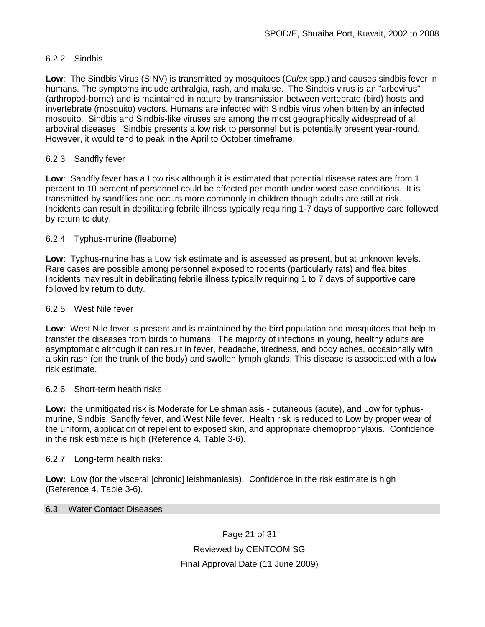# 6.2.2 Sindbis

**Low**: The Sindbis Virus (SINV) is transmitted by [mosquitoes](http://en.wikipedia.org/wiki/Mosquitoes) (*[Culex](http://en.wikipedia.org/wiki/Culex)* spp.) and causes sindbis fever in humans. The symptoms include [arthralgia,](http://en.wikipedia.org/wiki/Arthralgia) [rash,](http://en.wikipedia.org/wiki/Rash) and [malaise.](http://en.wikipedia.org/wiki/Malaise) The Sindbis virus is an ["arbovirus"](http://en.wikipedia.org/wiki/Arbovirus) (arthropod-borne) and is maintained in nature by transmission between vertebrate (bird) hosts and invertebrate (mosquito) vectors. Humans are infected with Sindbis virus when bitten by an infected mosquito. Sindbis and Sindbis-like viruses are among the most geographically widespread of all arboviral diseases. Sindbis presents a low risk to personnel but is potentially present year-round. However, it would tend to peak in the April to October timeframe.

# 6.2.3 Sandfly fever

**Low**: Sandfly fever has a Low risk although it is estimated that potential disease rates are from 1 percent to 10 percent of personnel could be affected per month under worst case conditions. It is transmitted by sandflies and occurs more commonly in children though adults are still at risk. Incidents can result in debilitating febrile illness typically requiring 1-7 days of supportive care followed by return to duty.

# 6.2.4 Typhus-murine (fleaborne)

**Low**: Typhus-murine has a Low risk estimate and is assessed as present, but at unknown levels. Rare cases are possible among personnel exposed to rodents (particularly rats) and flea bites. Incidents may result in debilitating febrile illness typically requiring 1 to 7 days of supportive care followed by return to duty.

### 6.2.5 West Nile fever

**Low**: West Nile fever is present and is maintained by the bird population and mosquitoes that help to transfer the diseases from birds to humans. The majority of infections in young, healthy adults are asymptomatic although it can result in fever, headache, tiredness, and body aches, occasionally with a skin rash (on the trunk of the body) and swollen lymph glands. This disease is associated with a low risk estimate.

# 6.2.6 Short-term health risks:

**Low:** the unmitigated risk is Moderate for Leishmaniasis - cutaneous (acute), and Low for typhusmurine, Sindbis, Sandfly fever, and West Nile fever. Health risk is reduced to Low by proper wear of the uniform, application of repellent to exposed skin, and appropriate chemoprophylaxis. Confidence in the risk estimate is high (Reference 4, Table 3-6).

#### 6.2.7 Long-term health risks:

Low: Low (for the visceral [chronic] leishmaniasis). Confidence in the risk estimate is high (Reference 4, Table 3-6).

### 6.3 Water Contact Diseases

Page 21 of 31 Reviewed by CENTCOM SG Final Approval Date (11 June 2009)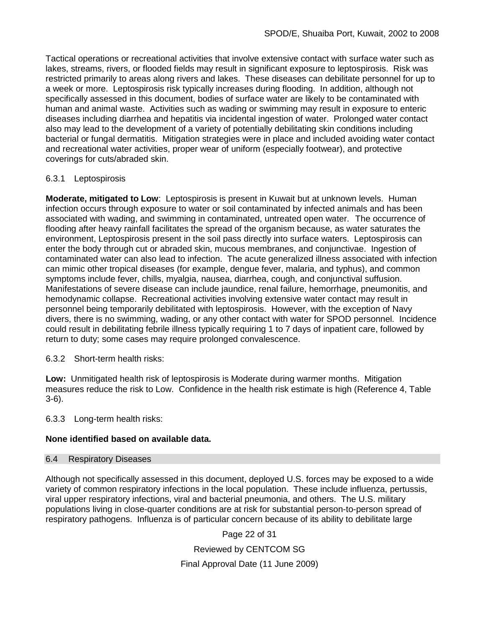Tactical operations or recreational activities that involve extensive contact with surface water such as lakes, streams, rivers, or flooded fields may result in significant exposure to leptospirosis. Risk was restricted primarily to areas along rivers and lakes. These diseases can debilitate personnel for up to a week or more. Leptospirosis risk typically increases during flooding. In addition, although not specifically assessed in this document, bodies of surface water are likely to be contaminated with human and animal waste. Activities such as wading or swimming may result in exposure to enteric diseases including diarrhea and hepatitis via incidental ingestion of water. Prolonged water contact also may lead to the development of a variety of potentially debilitating skin conditions including bacterial or fungal dermatitis. Mitigation strategies were in place and included avoiding water contact and recreational water activities, proper wear of uniform (especially footwear), and protective coverings for cuts/abraded skin.

# 6.3.1 Leptospirosis

**Moderate, mitigated to Low**: Leptospirosis is present in Kuwait but at unknown levels. Human infection occurs through exposure to water or soil contaminated by infected animals and has been associated with wading, and swimming in contaminated, untreated open water.The occurrence of flooding after heavy rainfall facilitates the spread of the organism because, as water saturates the environment, Leptospirosis present in the soil pass directly into surface waters. Leptospirosis can enter the body through cut or abraded skin, mucous membranes, and conjunctivae. Ingestion of contaminated water can also lead to infection. The acute generalized illness associated with infection can mimic other tropical diseases (for example, dengue fever, malaria, and typhus), and common symptoms include fever, chills, myalgia, nausea, diarrhea, cough, and conjunctival suffusion. Manifestations of severe disease can include jaundice, renal failure, hemorrhage, pneumonitis, and hemodynamic collapse. Recreational activities involving extensive water contact may result in personnel being temporarily debilitated with leptospirosis. However, with the exception of Navy divers, there is no swimming, wading, or any other contact with water for SPOD personnel. Incidence could result in debilitating febrile illness typically requiring 1 to 7 days of inpatient care, followed by return to duty; some cases may require prolonged convalescence.

6.3.2 Short-term health risks:

**Low:** Unmitigated health risk of leptospirosis is Moderate during warmer months. Mitigation measures reduce the risk to Low. Confidence in the health risk estimate is high (Reference 4, Table 3-6).

6.3.3 Long-term health risks:

# **None identified based on available data.**

### 6.4 Respiratory Diseases

Although not specifically assessed in this document, deployed U.S. forces may be exposed to a wide variety of common respiratory infections in the local population. These include influenza, pertussis, viral upper respiratory infections, viral and bacterial pneumonia, and others. The U.S. military populations living in close-quarter conditions are at risk for substantial person-to-person spread of respiratory pathogens. Influenza is of particular concern because of its ability to debilitate large

Page 22 of 31

Reviewed by CENTCOM SG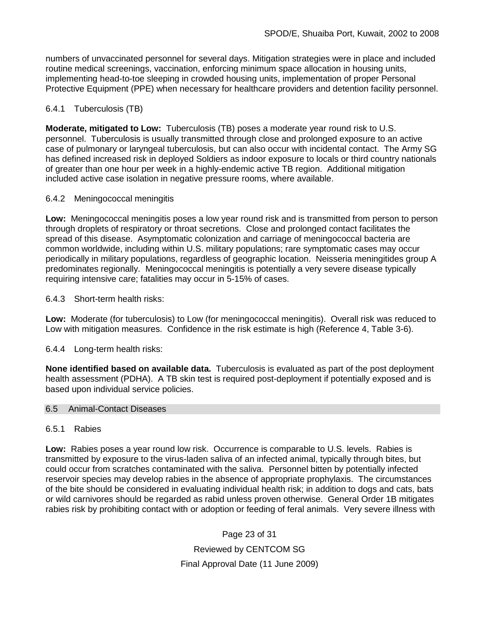numbers of unvaccinated personnel for several days. Mitigation strategies were in place and included routine medical screenings, vaccination, enforcing minimum space allocation in housing units, implementing head-to-toe sleeping in crowded housing units, implementation of proper Personal Protective Equipment (PPE) when necessary for healthcare providers and detention facility personnel.

# 6.4.1 Tuberculosis (TB)

**Moderate, mitigated to Low:** Tuberculosis (TB) poses a moderate year round risk to U.S. personnel. Tuberculosis is usually transmitted through close and prolonged exposure to an active case of pulmonary or laryngeal tuberculosis, but can also occur with incidental contact. The Army SG has defined increased risk in deployed Soldiers as indoor exposure to locals or third country nationals of greater than one hour per week in a highly-endemic active TB region. Additional mitigation included active case isolation in negative pressure rooms, where available.

# 6.4.2 Meningococcal meningitis

**Low:** Meningococcal meningitis poses a low year round risk and is transmitted from person to person through droplets of respiratory or throat secretions. Close and prolonged contact facilitates the spread of this disease. Asymptomatic colonization and carriage of meningococcal bacteria are common worldwide, including within U.S. military populations; rare symptomatic cases may occur periodically in military populations, regardless of geographic location. Neisseria meningitides group A predominates regionally. Meningococcal meningitis is potentially a very severe disease typically requiring intensive care; fatalities may occur in 5-15% of cases.

# 6.4.3 Short-term health risks:

**Low:** Moderate (for tuberculosis) to Low (for meningococcal meningitis). Overall risk was reduced to Low with mitigation measures. Confidence in the risk estimate is high (Reference 4, Table 3-6).

# 6.4.4 Long-term health risks:

**None identified based on available data.** Tuberculosis is evaluated as part of the post deployment health assessment (PDHA). A TB skin test is required post-deployment if potentially exposed and is based upon individual service policies.

# 6.5 Animal-Contact Diseases

# 6.5.1 Rabies

**Low:** Rabies poses a year round low risk. Occurrence is comparable to U.S. levels. Rabies is transmitted by exposure to the virus-laden saliva of an infected animal, typically through bites, but could occur from scratches contaminated with the saliva. Personnel bitten by potentially infected reservoir species may develop rabies in the absence of appropriate prophylaxis. The circumstances of the bite should be considered in evaluating individual health risk; in addition to dogs and cats, bats or wild carnivores should be regarded as rabid unless proven otherwise. General Order 1B mitigates rabies risk by prohibiting contact with or adoption or feeding of feral animals. Very severe illness with

> Page 23 of 31 Reviewed by CENTCOM SG Final Approval Date (11 June 2009)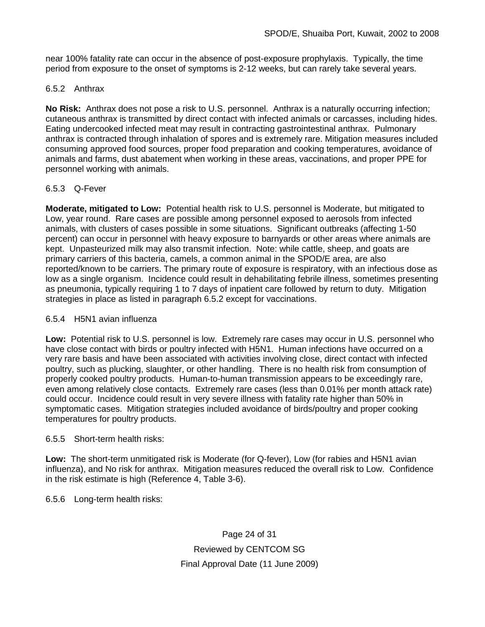near 100% fatality rate can occur in the absence of post-exposure prophylaxis. Typically, the time period from exposure to the onset of symptoms is 2-12 weeks, but can rarely take several years.

# 6.5.2 Anthrax

**No Risk:** Anthrax does not pose a risk to U.S. personnel. Anthrax is a naturally occurring infection; cutaneous anthrax is transmitted by direct contact with infected animals or carcasses, including hides. Eating undercooked infected meat may result in contracting gastrointestinal anthrax. Pulmonary anthrax is contracted through inhalation of spores and is extremely rare. Mitigation measures included consuming approved food sources, proper food preparation and cooking temperatures, avoidance of animals and farms, dust abatement when working in these areas, vaccinations, and proper PPE for personnel working with animals.

# 6.5.3 Q-Fever

**Moderate, mitigated to Low:** Potential health risk to U.S. personnel is Moderate, but mitigated to Low, year round. Rare cases are possible among personnel exposed to aerosols from infected animals, with clusters of cases possible in some situations. Significant outbreaks (affecting 1-50 percent) can occur in personnel with heavy exposure to barnyards or other areas where animals are kept. Unpasteurized milk may also transmit infection. Note: while cattle, sheep, and goats are primary carriers of this bacteria, camels, a common animal in the SPOD/E area, are also reported/known to be carriers. The primary route of exposure is respiratory, with an infectious dose as low as a single organism. Incidence could result in dehabilitating febrile illness, sometimes presenting as pneumonia, typically requiring 1 to 7 days of inpatient care followed by return to duty. Mitigation strategies in place as listed in paragraph 6.5.2 except for vaccinations.

# 6.5.4 H5N1 avian influenza

**Low:** Potential risk to U.S. personnel is low. Extremely rare cases may occur in U.S. personnel who have close contact with birds or poultry infected with H5N1. Human infections have occurred on a very rare basis and have been associated with activities involving close, direct contact with infected poultry, such as plucking, slaughter, or other handling. There is no health risk from consumption of properly cooked poultry products. Human-to-human transmission appears to be exceedingly rare, even among relatively close contacts. Extremely rare cases (less than 0.01% per month attack rate) could occur. Incidence could result in very severe illness with fatality rate higher than 50% in symptomatic cases. Mitigation strategies included avoidance of birds/poultry and proper cooking temperatures for poultry products.

# 6.5.5 Short-term health risks:

**Low:** The short-term unmitigated risk is Moderate (for Q-fever), Low (for rabies and H5N1 avian influenza), and No risk for anthrax.Mitigation measures reduced the overall risk to Low. Confidence in the risk estimate is high (Reference 4, Table 3-6).

# 6.5.6 Long-term health risks:

Page 24 of 31 Reviewed by CENTCOM SG Final Approval Date (11 June 2009)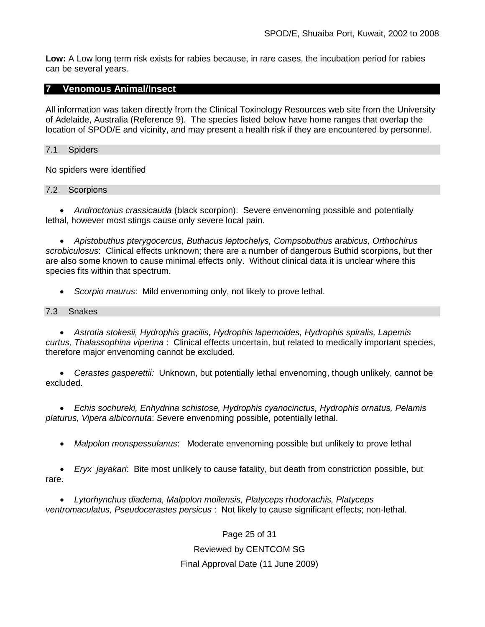**Low:** A Low long term risk exists for rabies because, in rare cases, the incubation period for rabies can be several years.

# **7 Venomous Animal/Insect**

All information was taken directly from the Clinical Toxinology Resources web site from the University of Adelaide, Australia (Reference 9). The species listed below have home ranges that overlap the location of SPOD/E and vicinity, and may present a health risk if they are encountered by personnel.

### 7.1 Spiders

No spiders were identified

7.2 Scorpions

• *Androctonus crassicauda* (black scorpion):Severe envenoming possible and potentially lethal, however most stings cause only severe local pain.

• *Apistobuthus pterygocercus, Buthacus leptochelys, Compsobuthus arabicus, Orthochirus scrobiculosus*: Clinical effects unknown; there are a number of dangerous Buthid scorpions, but ther are also some known to cause minimal effects only. Without clinical data it is unclear where this species fits within that spectrum.

• *Scorpio maurus*: Mild envenoming only, not likely to prove lethal.

#### 7.3 Snakes

• *Astrotia stokesii, Hydrophis gracilis, Hydrophis lapemoides, Hydrophis spiralis, Lapemis curtus, Thalassophina viperina* : Clinical effects uncertain, but related to medically important species, therefore major envenoming cannot be excluded.

• *Cerastes gasperettii:* Unknown, but potentially lethal envenoming, though unlikely, cannot be excluded.

• *Echis sochureki, Enhydrina schistose, Hydrophis cyanocinctus, Hydrophis ornatus, Pelamis platurus, Vipera albicornuta*: *S*evere envenoming possible, potentially lethal.

• *Malpolon monspessulanus*: Moderate envenoming possible but unlikely to prove lethal

• *Eryx jayakari*: Bite most unlikely to cause fatality, but death from constriction possible, but rare.

• *Lytorhynchus diadema, Malpolon moilensis, Platyceps rhodorachis, Platyceps ventromaculatus, Pseudocerastes persicus* : Not likely to cause significant effects; non-lethal.

> Page 25 of 31 Reviewed by CENTCOM SG Final Approval Date (11 June 2009)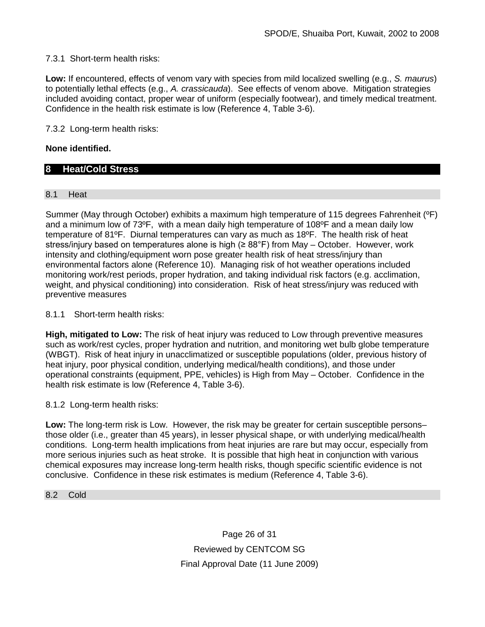# 7.3.1 Short-term health risks:

**Low:** If encountered, effects of venom vary with species from mild localized swelling (e.g., *S. maurus*) to potentially lethal effects (e.g., *A. crassicauda*). See effects of venom above. Mitigation strategies included avoiding contact, proper wear of uniform (especially footwear), and timely medical treatment. Confidence in the health risk estimate is low (Reference 4, Table 3-6).

7.3.2 Long-term health risks:

# **None identified.**

# **8 Heat/Cold Stress**

# 8.1 Heat

Summer (May through October) exhibits a maximum high temperature of 115 degrees Fahrenheit (ºF) and a minimum low of 73ºF, with a mean daily high temperature of 108ºF and a mean daily low temperature of 81ºF. Diurnal temperatures can vary as much as 18ºF. The health risk of heat stress/injury based on temperatures alone is high ( $\geq 88^{\circ}$ F) from May – October. However, work intensity and clothing/equipment worn pose greater health risk of heat stress/injury than environmental factors alone (Reference 10). Managing risk of hot weather operations included monitoring work/rest periods, proper hydration, and taking individual risk factors (e.g. acclimation, weight, and physical conditioning) into consideration. Risk of heat stress/injury was reduced with preventive measures

8.1.1 Short-term health risks:

**High, mitigated to Low:** The risk of heat injury was reduced to Low through preventive measures such as work/rest cycles, proper hydration and nutrition, and monitoring wet bulb globe temperature (WBGT). Risk of heat injury in unacclimatized or susceptible populations (older, previous history of heat injury, poor physical condition, underlying medical/health conditions), and those under operational constraints (equipment, PPE, vehicles) is High from May – October. Confidence in the health risk estimate is low (Reference 4, Table 3-6).

8.1.2 Long-term health risks:

**Low:** The long-term risk is Low. However, the risk may be greater for certain susceptible persons– those older (i.e., greater than 45 years), in lesser physical shape, or with underlying medical/health conditions. Long-term health implications from heat injuries are rare but may occur, especially from more serious injuries such as heat stroke. It is possible that high heat in conjunction with various chemical exposures may increase long-term health risks, though specific scientific evidence is not conclusive. Confidence in these risk estimates is medium (Reference 4, Table 3-6).

8.2 Cold

Page 26 of 31 Reviewed by CENTCOM SG Final Approval Date (11 June 2009)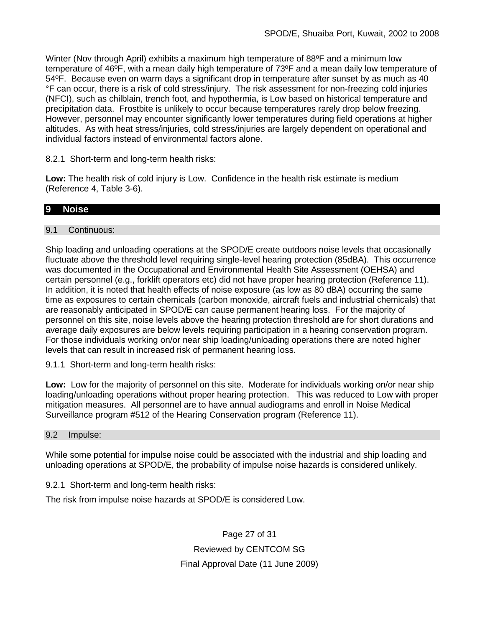Winter (Nov through April) exhibits a maximum high temperature of 88ºF and a minimum low temperature of 46ºF, with a mean daily high temperature of 73ºF and a mean daily low temperature of 54ºF. Because even on warm days a significant drop in temperature after sunset by as much as 40 °F can occur, there is a risk of cold stress/injury. The risk assessment for non-freezing cold injuries (NFCI), such as chilblain, trench foot, and hypothermia, is Low based on historical temperature and precipitation data. Frostbite is unlikely to occur because temperatures rarely drop below freezing. However, personnel may encounter significantly lower temperatures during field operations at higher altitudes. As with heat stress/injuries, cold stress/injuries are largely dependent on operational and individual factors instead of environmental factors alone.

8.2.1 Short-term and long-term health risks:

**Low:** The health risk of cold injury is Low. Confidence in the health risk estimate is medium (Reference 4, Table 3-6).

# **9 Noise**

# 9.1 Continuous:

Ship loading and unloading operations at the SPOD/E create outdoors noise levels that occasionally fluctuate above the threshold level requiring single-level hearing protection (85dBA). This occurrence was documented in the Occupational and Environmental Health Site Assessment (OEHSA) and certain personnel (e.g., forklift operators etc) did not have proper hearing protection (Reference 11). In addition, it is noted that health effects of noise exposure (as low as 80 dBA) occurring the same time as exposures to certain chemicals (carbon monoxide, aircraft fuels and industrial chemicals) that are reasonably anticipated in SPOD/E can cause permanent hearing loss. For the majority of personnel on this site, noise levels above the hearing protection threshold are for short durations and average daily exposures are below levels requiring participation in a hearing conservation program. For those individuals working on/or near ship loading/unloading operations there are noted higher levels that can result in increased risk of permanent hearing loss.

9.1.1 Short-term and long-term health risks:

**Low:** Low for the majority of personnel on this site. Moderate for individuals working on/or near ship loading/unloading operations without proper hearing protection. This was reduced to Low with proper mitigation measures. All personnel are to have annual audiograms and enroll in Noise Medical Surveillance program #512 of the Hearing Conservation program (Reference 11).

#### 9.2 Impulse:

While some potential for impulse noise could be associated with the industrial and ship loading and unloading operations at SPOD/E, the probability of impulse noise hazards is considered unlikely.

9.2.1 Short-term and long-term health risks:

The risk from impulse noise hazards at SPOD/E is considered Low.

Page 27 of 31 Reviewed by CENTCOM SG Final Approval Date (11 June 2009)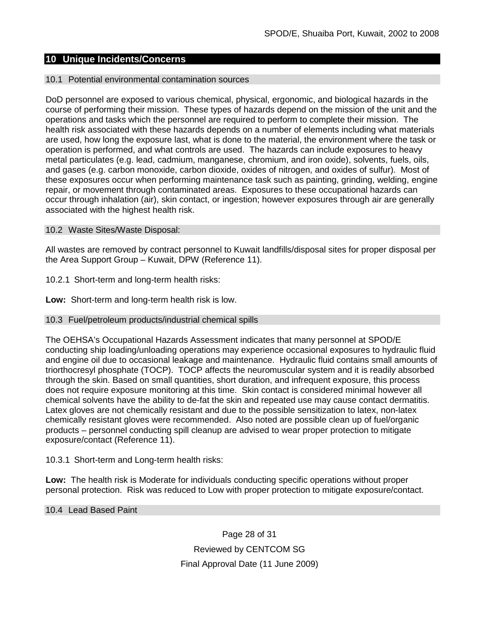# **10 Unique Incidents/Concerns**

#### 10.1 Potential environmental contamination sources

DoD personnel are exposed to various chemical, physical, ergonomic, and biological hazards in the course of performing their mission. These types of hazards depend on the mission of the unit and the operations and tasks which the personnel are required to perform to complete their mission. The health risk associated with these hazards depends on a number of elements including what materials are used, how long the exposure last, what is done to the material, the environment where the task or operation is performed, and what controls are used. The hazards can include exposures to heavy metal particulates (e.g. lead, cadmium, manganese, chromium, and iron oxide), solvents, fuels, oils, and gases (e.g. carbon monoxide, carbon dioxide, oxides of nitrogen, and oxides of sulfur). Most of these exposures occur when performing maintenance task such as painting, grinding, welding, engine repair, or movement through contaminated areas. Exposures to these occupational hazards can occur through inhalation (air), skin contact, or ingestion; however exposures through air are generally associated with the highest health risk.

#### 10.2 Waste Sites/Waste Disposal:

All wastes are removed by contract personnel to Kuwait landfills/disposal sites for proper disposal per the Area Support Group – Kuwait, DPW (Reference 11).

10.2.1 Short-term and long-term health risks:

**Low:** Short-term and long-term health risk is low.

#### 10.3 Fuel/petroleum products/industrial chemical spills

The OEHSA's Occupational Hazards Assessment indicates that many personnel at SPOD/E conducting ship loading/unloading operations may experience occasional exposures to hydraulic fluid and engine oil due to occasional leakage and maintenance. Hydraulic fluid contains small amounts of triorthocresyl phosphate (TOCP). TOCP affects the neuromuscular system and it is readily absorbed through the skin. Based on small quantities, short duration, and infrequent exposure, this process does not require exposure monitoring at this time. Skin contact is considered minimal however all chemical solvents have the ability to de-fat the skin and repeated use may cause contact dermatitis. Latex gloves are not chemically resistant and due to the possible sensitization to latex, non-latex chemically resistant gloves were recommended. Also noted are possible clean up of fuel/organic products – personnel conducting spill cleanup are advised to wear proper protection to mitigate exposure/contact (Reference 11).

10.3.1 Short-term and Long-term health risks:

**Low:** The health risk is Moderate for individuals conducting specific operations without proper personal protection. Risk was reduced to Low with proper protection to mitigate exposure/contact.

### 10.4 Lead Based Paint

Page 28 of 31 Reviewed by CENTCOM SG Final Approval Date (11 June 2009)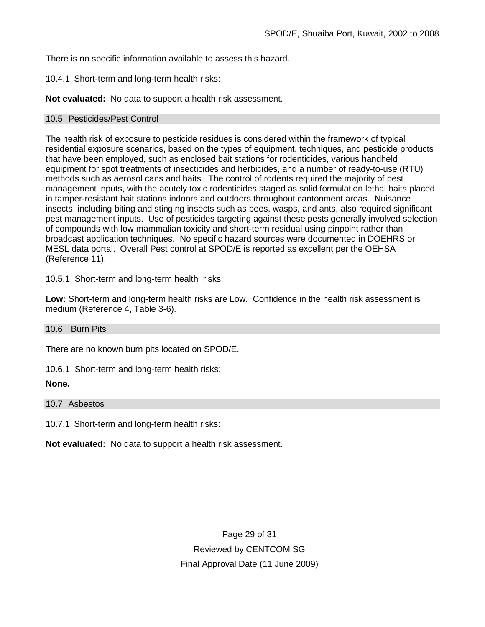There is no specific information available to assess this hazard.

10.4.1 Short-term and long-term health risks:

**Not evaluated:** No data to support a health risk assessment.

### 10.5 Pesticides/Pest Control

The health risk of exposure to pesticide residues is considered within the framework of typical residential exposure scenarios, based on the types of equipment, techniques, and pesticide products that have been employed, such as enclosed bait stations for rodenticides, various handheld equipment for spot treatments of insecticides and herbicides, and a number of ready-to-use (RTU) methods such as aerosol cans and baits. The control of rodents required the majority of pest management inputs, with the acutely toxic rodenticides staged as solid formulation lethal baits placed in tamper-resistant bait stations indoors and outdoors throughout cantonment areas. Nuisance insects, including biting and stinging insects such as bees, wasps, and ants, also required significant pest management inputs. Use of pesticides targeting against these pests generally involved selection of compounds with low mammalian toxicity and short-term residual using pinpoint rather than broadcast application techniques. No specific hazard sources were documented in DOEHRS or MESL data portal. Overall Pest control at SPOD/E is reported as excellent per the OEHSA (Reference 11).

10.5.1 Short-term and long-term health risks:

**Low:** Short-term and long-term health risks are Low. Confidence in the health risk assessment is medium (Reference 4, Table 3-6).

#### 10.6 Burn Pits

There are no known burn pits located on SPOD/E.

10.6.1 Short-term and long-term health risks:

### **None.**

10.7 Asbestos

10.7.1 Short-term and long-term health risks:

**Not evaluated:** No data to support a health risk assessment.

Page 29 of 31 Reviewed by CENTCOM SG Final Approval Date (11 June 2009)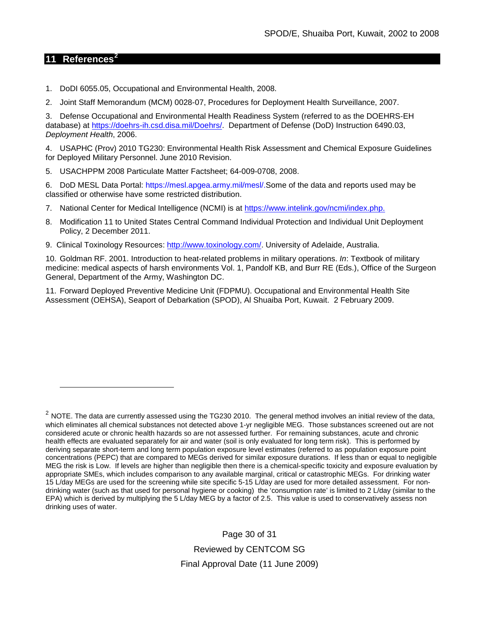# **11 References[2](#page-29-0)**

 $\overline{a}$ 

- 1. DoDI 6055.05, Occupational and Environmental Health, 2008.
- 2. Joint Staff Memorandum (MCM) 0028-07, Procedures for Deployment Health Surveillance, 2007.

3. Defense Occupational and Environmental Health Readiness System (referred to as the DOEHRS-EH database) at [https://doehrs-ih.csd.disa.mil/Doehrs/.](https://doehrs-ih.csd.disa.mil/Doehrs/) Department of Defense (DoD) Instruction 6490.03, *Deployment Health*, 2006.

4. USAPHC (Prov) 2010 TG230: Environmental Health Risk Assessment and Chemical Exposure Guidelines for Deployed Military Personnel. June 2010 Revision.

5. USACHPPM 2008 Particulate Matter Factsheet; 64-009-0708, 2008.

6. DoD MESL Data Portal: https://mesl.apgea.army.mil/mesl/.Some of the data and reports used may be classified or otherwise have some restricted distribution.

- 7. National Center for Medical Intelligence (NCMI) is at [https://www.intelink.gov/ncmi/index.php.](https://www.intelink.gov/ncmi/index.php)
- 8. Modification 11 to United States Central Command Individual Protection and Individual Unit Deployment Policy, 2 December 2011.
- 9. Clinical Toxinology Resources: [http://www.toxinology.com/.](http://www.toxinology.com/) University of Adelaide, Australia.

10. Goldman RF. 2001. Introduction to heat-related problems in military operations. *In*: Textbook of military medicine: medical aspects of harsh environments Vol. 1, Pandolf KB, and Burr RE (Eds.), Office of the Surgeon General, Department of the Army, Washington DC.

11. Forward Deployed Preventive Medicine Unit (FDPMU). Occupational and Environmental Health Site Assessment (OEHSA), Seaport of Debarkation (SPOD), Al Shuaiba Port, Kuwait. 2 February 2009.

Page 30 of 31 Reviewed by CENTCOM SG Final Approval Date (11 June 2009)

<span id="page-29-0"></span> $2$  NOTE. The data are currently assessed using the TG230 2010. The general method involves an initial review of the data, which eliminates all chemical substances not detected above 1-yr negligible MEG. Those substances screened out are not considered acute or chronic health hazards so are not assessed further. For remaining substances, acute and chronic health effects are evaluated separately for air and water (soil is only evaluated for long term risk). This is performed by deriving separate short-term and long term population exposure level estimates (referred to as population exposure point concentrations (PEPC) that are compared to MEGs derived for similar exposure durations. If less than or equal to negligible MEG the risk is Low. If levels are higher than negligible then there is a chemical-specific toxicity and exposure evaluation by appropriate SMEs, which includes comparison to any available marginal, critical or catastrophic MEGs. For drinking water 15 L/day MEGs are used for the screening while site specific 5-15 L/day are used for more detailed assessment. For nondrinking water (such as that used for personal hygiene or cooking) the 'consumption rate' is limited to 2 L/day (similar to the EPA) which is derived by multiplying the 5 L/day MEG by a factor of 2.5. This value is used to conservatively assess non drinking uses of water.